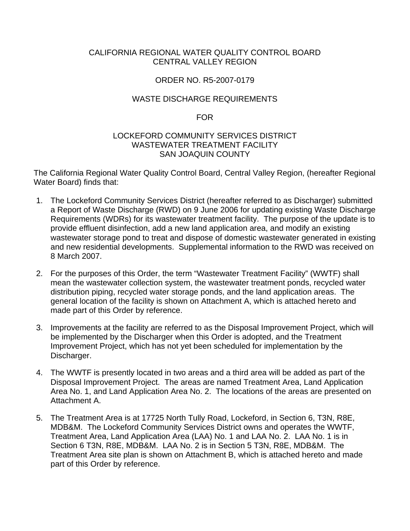#### CALIFORNIA REGIONAL WATER QUALITY CONTROL BOARD CENTRAL VALLEY REGION

#### ORDER NO. R5-2007-0179

#### WASTE DISCHARGE REQUIREMENTS

#### FOR

#### LOCKEFORD COMMUNITY SERVICES DISTRICT WASTEWATER TREATMENT FACILITY SAN JOAQUIN COUNTY

The California Regional Water Quality Control Board, Central Valley Region, (hereafter Regional Water Board) finds that:

- 1. The Lockeford Community Services District (hereafter referred to as Discharger) submitted a Report of Waste Discharge (RWD) on 9 June 2006 for updating existing Waste Discharge Requirements (WDRs) for its wastewater treatment facility. The purpose of the update is to provide effluent disinfection, add a new land application area, and modify an existing wastewater storage pond to treat and dispose of domestic wastewater generated in existing and new residential developments. Supplemental information to the RWD was received on 8 March 2007.
- 2. For the purposes of this Order, the term "Wastewater Treatment Facility" (WWTF) shall mean the wastewater collection system, the wastewater treatment ponds, recycled water distribution piping, recycled water storage ponds, and the land application areas. The general location of the facility is shown on Attachment A, which is attached hereto and made part of this Order by reference.
- 3. Improvements at the facility are referred to as the Disposal Improvement Project, which will be implemented by the Discharger when this Order is adopted, and the Treatment Improvement Project, which has not yet been scheduled for implementation by the Discharger.
- 4. The WWTF is presently located in two areas and a third area will be added as part of the Disposal Improvement Project. The areas are named Treatment Area, Land Application Area No. 1, and Land Application Area No. 2. The locations of the areas are presented on Attachment A.
- 5. The Treatment Area is at 17725 North Tully Road, Lockeford, in Section 6, T3N, R8E, MDB&M. The Lockeford Community Services District owns and operates the WWTF, Treatment Area, Land Application Area (LAA) No. 1 and LAA No. 2. LAA No. 1 is in Section 6 T3N, R8E, MDB&M. LAA No. 2 is in Section 5 T3N, R8E, MDB&M. The Treatment Area site plan is shown on Attachment B, which is attached hereto and made part of this Order by reference.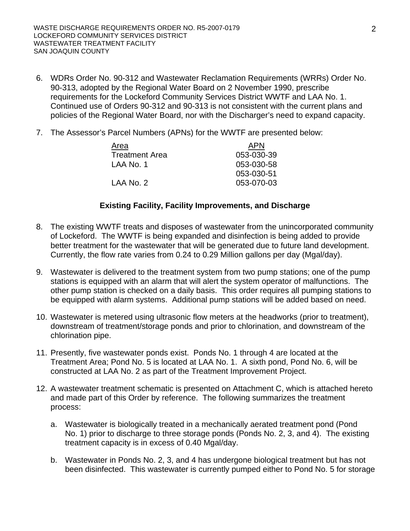- 6. WDRs Order No. 90-312 and Wastewater Reclamation Requirements (WRRs) Order No. 90-313, adopted by the Regional Water Board on 2 November 1990, prescribe requirements for the Lockeford Community Services District WWTF and LAA No. 1. Continued use of Orders 90-312 and 90-313 is not consistent with the current plans and policies of the Regional Water Board, nor with the Discharger's need to expand capacity.
- 7. The Assessor's Parcel Numbers (APNs) for the WWTF are presented below:

| <b>APN</b> |
|------------|
| 053-030-39 |
| 053-030-58 |
| 053-030-51 |
| 053-070-03 |
|            |

#### **Existing Facility, Facility Improvements, and Discharge**

- 8. The existing WWTF treats and disposes of wastewater from the unincorporated community of Lockeford. The WWTF is being expanded and disinfection is being added to provide better treatment for the wastewater that will be generated due to future land development. Currently, the flow rate varies from 0.24 to 0.29 Million gallons per day (Mgal/day).
- 9. Wastewater is delivered to the treatment system from two pump stations; one of the pump stations is equipped with an alarm that will alert the system operator of malfunctions. The other pump station is checked on a daily basis. This order requires all pumping stations to be equipped with alarm systems. Additional pump stations will be added based on need.
- 10. Wastewater is metered using ultrasonic flow meters at the headworks (prior to treatment), downstream of treatment/storage ponds and prior to chlorination, and downstream of the chlorination pipe.
- 11. Presently, five wastewater ponds exist. Ponds No. 1 through 4 are located at the Treatment Area; Pond No. 5 is located at LAA No. 1. A sixth pond, Pond No. 6, will be constructed at LAA No. 2 as part of the Treatment Improvement Project.
- 12. A wastewater treatment schematic is presented on Attachment C, which is attached hereto and made part of this Order by reference. The following summarizes the treatment process:
	- a. Wastewater is biologically treated in a mechanically aerated treatment pond (Pond No. 1) prior to discharge to three storage ponds (Ponds No. 2, 3, and 4). The existing treatment capacity is in excess of 0.40 Mgal/day.
	- b. Wastewater in Ponds No. 2, 3, and 4 has undergone biological treatment but has not been disinfected. This wastewater is currently pumped either to Pond No. 5 for storage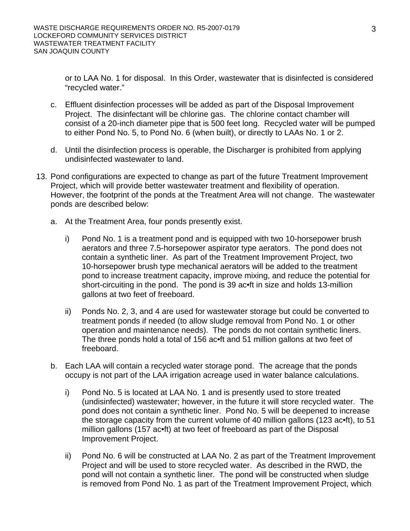or to LAA No. 1 for disposal. In this Order, wastewater that is disinfected is considered "recycled water."

- c. Effluent disinfection processes will be added as part of the Disposal Improvement Project. The disinfectant will be chlorine gas. The chlorine contact chamber will consist of a 20-inch diameter pipe that is 500 feet long. Recycled water will be pumped to either Pond No. 5, to Pond No. 6 (when built), or directly to LAAs No. 1 or 2.
- d. Until the disinfection process is operable, the Discharger is prohibited from applying undisinfected wastewater to land.
- 13. Pond configurations are expected to change as part of the future Treatment Improvement Project, which will provide better wastewater treatment and flexibility of operation. However, the footprint of the ponds at the Treatment Area will not change. The wastewater ponds are described below:
	- a. At the Treatment Area, four ponds presently exist.
		- i) Pond No. 1 is a treatment pond and is equipped with two 10-horsepower brush aerators and three 7.5-horsepower aspirator type aerators. The pond does not contain a synthetic liner. As part of the Treatment Improvement Project, two 10-horsepower brush type mechanical aerators will be added to the treatment pond to increase treatment capacity, improve mixing, and reduce the potential for short-circuiting in the pond. The pond is 39 ac•ft in size and holds 13-million gallons at two feet of freeboard.
		- ii) Ponds No. 2, 3, and 4 are used for wastewater storage but could be converted to treatment ponds if needed (to allow sludge removal from Pond No. 1 or other operation and maintenance needs). The ponds do not contain synthetic liners. The three ponds hold a total of 156 ac•ft and 51 million gallons at two feet of freeboard.
	- b. Each LAA will contain a recycled water storage pond. The acreage that the ponds occupy is not part of the LAA irrigation acreage used in water balance calculations.
		- i) Pond No. 5 is located at LAA No. 1 and is presently used to store treated (undisinfected) wastewater; however, in the future it will store recycled water. The pond does not contain a synthetic liner. Pond No. 5 will be deepened to increase the storage capacity from the current volume of 40 million gallons (123 ac•ft), to 51 million gallons (157 ac•ft) at two feet of freeboard as part of the Disposal Improvement Project.
		- ii) Pond No. 6 will be constructed at LAA No. 2 as part of the Treatment Improvement Project and will be used to store recycled water. As described in the RWD, the pond will not contain a synthetic liner. The pond will be constructed when sludge is removed from Pond No. 1 as part of the Treatment Improvement Project, which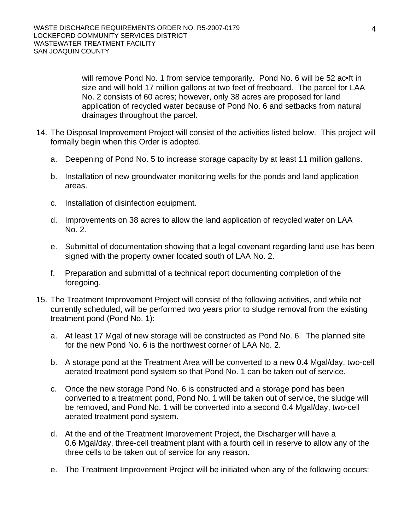will remove Pond No. 1 from service temporarily. Pond No. 6 will be 52 ac•ft in size and will hold 17 million gallons at two feet of freeboard. The parcel for LAA No. 2 consists of 60 acres; however, only 38 acres are proposed for land application of recycled water because of Pond No. 6 and setbacks from natural drainages throughout the parcel.

- 14. The Disposal Improvement Project will consist of the activities listed below. This project will formally begin when this Order is adopted.
	- a. Deepening of Pond No. 5 to increase storage capacity by at least 11 million gallons.
	- b. Installation of new groundwater monitoring wells for the ponds and land application areas.
	- c. Installation of disinfection equipment.
	- d. Improvements on 38 acres to allow the land application of recycled water on LAA No. 2.
	- e. Submittal of documentation showing that a legal covenant regarding land use has been signed with the property owner located south of LAA No. 2.
	- f. Preparation and submittal of a technical report documenting completion of the foregoing.
- 15. The Treatment Improvement Project will consist of the following activities, and while not currently scheduled, will be performed two years prior to sludge removal from the existing treatment pond (Pond No. 1):
	- a. At least 17 Mgal of new storage will be constructed as Pond No. 6. The planned site for the new Pond No. 6 is the northwest corner of LAA No. 2.
	- b. A storage pond at the Treatment Area will be converted to a new 0.4 Mgal/day, two-cell aerated treatment pond system so that Pond No. 1 can be taken out of service.
	- c. Once the new storage Pond No. 6 is constructed and a storage pond has been converted to a treatment pond, Pond No. 1 will be taken out of service, the sludge will be removed, and Pond No. 1 will be converted into a second 0.4 Mgal/day, two-cell aerated treatment pond system.
	- d. At the end of the Treatment Improvement Project, the Discharger will have a 0.6 Mgal/day, three-cell treatment plant with a fourth cell in reserve to allow any of the three cells to be taken out of service for any reason.
	- e. The Treatment Improvement Project will be initiated when any of the following occurs: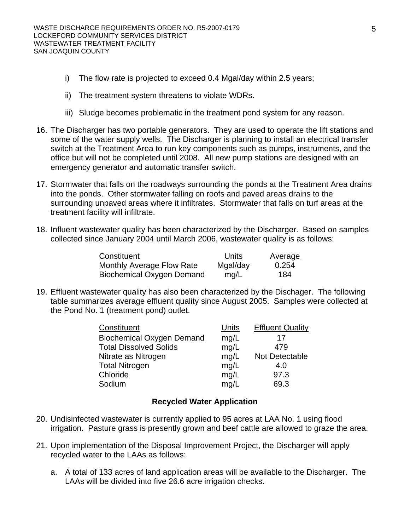- i) The flow rate is projected to exceed 0.4 Mgal/day within 2.5 years;
- ii) The treatment system threatens to violate WDRs.
- iii) Sludge becomes problematic in the treatment pond system for any reason.
- 16. The Discharger has two portable generators. They are used to operate the lift stations and some of the water supply wells. The Discharger is planning to install an electrical transfer switch at the Treatment Area to run key components such as pumps, instruments, and the office but will not be completed until 2008. All new pump stations are designed with an emergency generator and automatic transfer switch.
- 17. Stormwater that falls on the roadways surrounding the ponds at the Treatment Area drains into the ponds. Other stormwater falling on roofs and paved areas drains to the surrounding unpaved areas where it infiltrates. Stormwater that falls on turf areas at the treatment facility will infiltrate.
- 18. Influent wastewater quality has been characterized by the Discharger. Based on samples collected since January 2004 until March 2006, wastewater quality is as follows:

| Constituent               | Units    | Average |
|---------------------------|----------|---------|
| Monthly Average Flow Rate | Mgal/day | 0.254   |
| Biochemical Oxygen Demand | mg/L     | 184     |

19. Effluent wastewater quality has also been characterized by the Dischager. The following table summarizes average effluent quality since August 2005. Samples were collected at the Pond No. 1 (treatment pond) outlet.

| Constituent                      | Units | <b>Effluent Quality</b> |
|----------------------------------|-------|-------------------------|
| <b>Biochemical Oxygen Demand</b> | mg/L  | 17                      |
| <b>Total Dissolved Solids</b>    | mg/L  | 479                     |
| Nitrate as Nitrogen              | mg/L  | Not Detectable          |
| <b>Total Nitrogen</b>            | mg/L  | 4.0                     |
| Chloride                         | mg/L  | 97.3                    |
| Sodium                           | mg/L  | 69.3                    |

#### **Recycled Water Application**

- 20. Undisinfected wastewater is currently applied to 95 acres at LAA No. 1 using flood irrigation. Pasture grass is presently grown and beef cattle are allowed to graze the area.
- 21. Upon implementation of the Disposal Improvement Project, the Discharger will apply recycled water to the LAAs as follows:
	- a. A total of 133 acres of land application areas will be available to the Discharger. The LAAs will be divided into five 26.6 acre irrigation checks.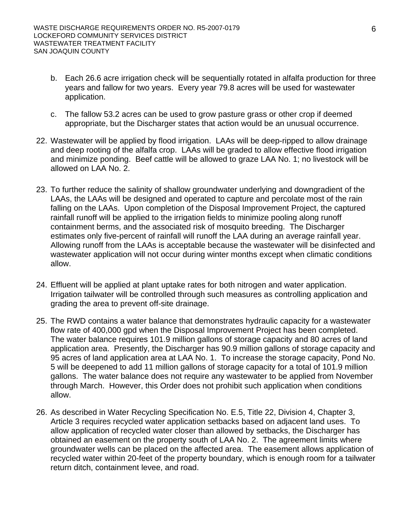- b. Each 26.6 acre irrigation check will be sequentially rotated in alfalfa production for three years and fallow for two years. Every year 79.8 acres will be used for wastewater application.
- c. The fallow 53.2 acres can be used to grow pasture grass or other crop if deemed appropriate, but the Discharger states that action would be an unusual occurrence.
- 22. Wastewater will be applied by flood irrigation. LAAs will be deep-ripped to allow drainage and deep rooting of the alfalfa crop. LAAs will be graded to allow effective flood irrigation and minimize ponding. Beef cattle will be allowed to graze LAA No. 1; no livestock will be allowed on LAA No. 2.
- 23. To further reduce the salinity of shallow groundwater underlying and downgradient of the LAAs, the LAAs will be designed and operated to capture and percolate most of the rain falling on the LAAs. Upon completion of the Disposal Improvement Project, the captured rainfall runoff will be applied to the irrigation fields to minimize pooling along runoff containment berms, and the associated risk of mosquito breeding. The Discharger estimates only five-percent of rainfall will runoff the LAA during an average rainfall year. Allowing runoff from the LAAs is acceptable because the wastewater will be disinfected and wastewater application will not occur during winter months except when climatic conditions allow.
- 24. Effluent will be applied at plant uptake rates for both nitrogen and water application. Irrigation tailwater will be controlled through such measures as controlling application and grading the area to prevent off-site drainage.
- 25. The RWD contains a water balance that demonstrates hydraulic capacity for a wastewater flow rate of 400,000 gpd when the Disposal Improvement Project has been completed. The water balance requires 101.9 million gallons of storage capacity and 80 acres of land application area. Presently, the Discharger has 90.9 million gallons of storage capacity and 95 acres of land application area at LAA No. 1. To increase the storage capacity, Pond No. 5 will be deepened to add 11 million gallons of storage capacity for a total of 101.9 million gallons. The water balance does not require any wastewater to be applied from November through March. However, this Order does not prohibit such application when conditions allow.
- 26. As described in Water Recycling Specification No. E.5, Title 22, Division 4, Chapter 3, Article 3 requires recycled water application setbacks based on adjacent land uses. To allow application of recycled water closer than allowed by setbacks, the Discharger has obtained an easement on the property south of LAA No. 2. The agreement limits where groundwater wells can be placed on the affected area. The easement allows application of recycled water within 20-feet of the property boundary, which is enough room for a tailwater return ditch, containment levee, and road.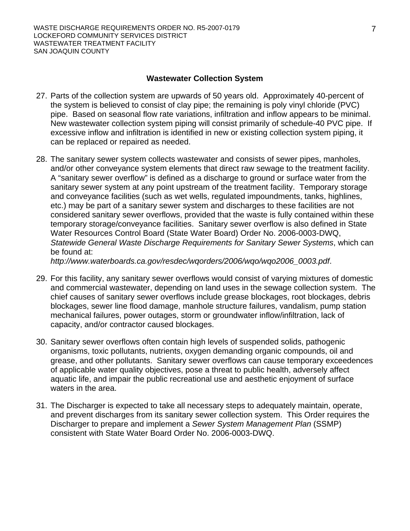#### **Wastewater Collection System**

- 27. Parts of the collection system are upwards of 50 years old. Approximately 40-percent of the system is believed to consist of clay pipe; the remaining is poly vinyl chloride (PVC) pipe. Based on seasonal flow rate variations, infiltration and inflow appears to be minimal. New wastewater collection system piping will consist primarily of schedule-40 PVC pipe. If excessive inflow and infiltration is identified in new or existing collection system piping, it can be replaced or repaired as needed.
- 28. The sanitary sewer system collects wastewater and consists of sewer pipes, manholes, and/or other conveyance system elements that direct raw sewage to the treatment facility. A "sanitary sewer overflow" is defined as a discharge to ground or surface water from the sanitary sewer system at any point upstream of the treatment facility. Temporary storage and conveyance facilities (such as wet wells, regulated impoundments, tanks, highlines, etc.) may be part of a sanitary sewer system and discharges to these facilities are not considered sanitary sewer overflows, provided that the waste is fully contained within these temporary storage/conveyance facilities. Sanitary sewer overflow is also defined in State Water Resources Control Board (State Water Board) Order No. 2006-0003-DWQ, *Statewide General Waste Discharge Requirements for Sanitary Sewer Systems*, which can be found at:

*http://www.waterboards.ca.gov/resdec/wqorders/2006/wqo/wqo2006\_0003.pdf*.

- 29. For this facility, any sanitary sewer overflows would consist of varying mixtures of domestic and commercial wastewater, depending on land uses in the sewage collection system. The chief causes of sanitary sewer overflows include grease blockages, root blockages, debris blockages, sewer line flood damage, manhole structure failures, vandalism, pump station mechanical failures, power outages, storm or groundwater inflow/infiltration, lack of capacity, and/or contractor caused blockages.
- 30. Sanitary sewer overflows often contain high levels of suspended solids, pathogenic organisms, toxic pollutants, nutrients, oxygen demanding organic compounds, oil and grease, and other pollutants. Sanitary sewer overflows can cause temporary exceedences of applicable water quality objectives, pose a threat to public health, adversely affect aquatic life, and impair the public recreational use and aesthetic enjoyment of surface waters in the area.
- 31. The Discharger is expected to take all necessary steps to adequately maintain, operate, and prevent discharges from its sanitary sewer collection system. This Order requires the Discharger to prepare and implement a *Sewer System Management Plan* (SSMP) consistent with State Water Board Order No. 2006-0003-DWQ.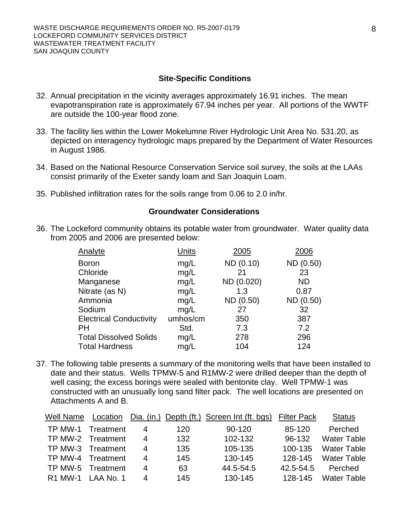#### **Site-Specific Conditions**

- 32. Annual precipitation in the vicinity averages approximately 16.91 inches. The mean evapotranspiration rate is approximately 67.94 inches per year. All portions of the WWTF are outside the 100-year flood zone.
- 33. The facility lies within the Lower Mokelumne River Hydrologic Unit Area No. 531.20, as depicted on interagency hydrologic maps prepared by the Department of Water Resources in August 1986.
- 34. Based on the National Resource Conservation Service soil survey, the soils at the LAAs consist primarily of the Exeter sandy loam and San Joaquin Loam.
- 35. Published infiltration rates for the soils range from 0.06 to 2.0 in/hr.

#### **Groundwater Considerations**

36. The Lockeford community obtains its potable water from groundwater. Water quality data from 2005 and 2006 are presented below:

| Analyte                        | Units    | 2005       | 2006      |
|--------------------------------|----------|------------|-----------|
| <b>Boron</b>                   | mg/L     | ND (0.10)  | ND (0.50) |
| Chloride                       | mg/L     | 21         | 23        |
| Manganese                      | mg/L     | ND (0.020) | <b>ND</b> |
| Nitrate (as N)                 | mg/L     | 1.3        | 0.87      |
| Ammonia                        | mg/L     | ND (0.50)  | ND (0.50) |
| Sodium                         | mg/L     | 27         | 32        |
| <b>Electrical Conductivity</b> | umhos/cm | 350        | 387       |
| <b>PH</b>                      | Std.     | 7.3        | 7.2       |
| <b>Total Dissolved Solids</b>  | mg/L     | 278        | 296       |
| <b>Total Hardness</b>          | mg/L     | 104        | 124       |

37. The following table presents a summary of the monitoring wells that have been installed to date and their status. Wells TPMW-5 and R1MW-2 were drilled deeper than the depth of well casing; the excess borings were sealed with bentonite clay. Well TPMW-1 was constructed with an unusually long sand filter pack. The well locations are presented on Attachments A and B.

| Well Name      | Location          |   |     | Dia. (in.) Depth (ft.) Screen Int (ft. bgs) | <b>Filter Pack</b> | <b>Status</b>      |
|----------------|-------------------|---|-----|---------------------------------------------|--------------------|--------------------|
| TP MW-1        | Treatment         | 4 | 120 | $90 - 120$                                  | 85-120             | Perched            |
|                | TP MW-2 Treatment | 4 | 132 | 102-132                                     | 96-132             | <b>Water Table</b> |
| TP MW-3        | Treatment         | 4 | 135 | 105-135                                     | 100-135            | <b>Water Table</b> |
| TP MW-4        | Treatment         | 4 | 145 | 130-145                                     | 128-145            | <b>Water Table</b> |
| TP MW-5        | Treatment         | 4 | 63  | 44.5-54.5                                   | 42.5-54.5          | Perched            |
| <b>R1 MW-1</b> | LAA No. 1         | 4 | 145 | 130-145                                     | 128-145            | <b>Water Table</b> |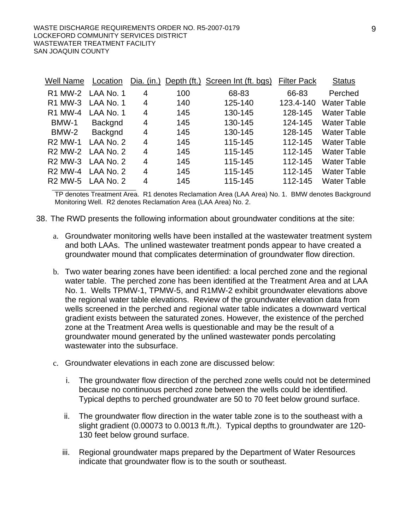| Well Name      | Location  | Dia. $(in.)$ |     | Depth (ft.) Screen Int (ft. bgs) | <b>Filter Pack</b> | <b>Status</b>      |
|----------------|-----------|--------------|-----|----------------------------------|--------------------|--------------------|
| <b>R1 MW-2</b> | LAA No. 1 | 4            | 100 | 68-83                            | 66-83              | Perched            |
| <b>R1 MW-3</b> | LAA No. 1 | 4            | 140 | 125-140                          | 123.4-140          | <b>Water Table</b> |
| <b>R1 MW-4</b> | LAA No. 1 | 4            | 145 | 130-145                          | 128-145            | <b>Water Table</b> |
| BMW-1          | Backgnd   | 4            | 145 | 130-145                          | 124-145            | <b>Water Table</b> |
| BMW-2          | Backgnd   | 4            | 145 | 130-145                          | 128-145            | <b>Water Table</b> |
| <b>R2 MW-1</b> | LAA No. 2 | 4            | 145 | 115-145                          | 112-145            | <b>Water Table</b> |
| <b>R2 MW-2</b> | LAA No. 2 | 4            | 145 | 115-145                          | 112-145            | <b>Water Table</b> |
| <b>R2 MW-3</b> | LAA No. 2 | 4            | 145 | 115-145                          | 112-145            | <b>Water Table</b> |
| <b>R2 MW-4</b> | LAA No. 2 | 4            | 145 | 115-145                          | 112-145            | <b>Water Table</b> |
| <b>R2 MW-5</b> | LAA No. 2 | 4            | 145 | 115-145                          | 112-145            | <b>Water Table</b> |

TP denotes Treatment Area. R1 denotes Reclamation Area (LAA Area) No. 1. BMW denotes Background Monitoring Well. R2 denotes Reclamation Area (LAA Area) No. 2.

- 38. The RWD presents the following information about groundwater conditions at the site:
	- a. Groundwater monitoring wells have been installed at the wastewater treatment system and both LAAs. The unlined wastewater treatment ponds appear to have created a groundwater mound that complicates determination of groundwater flow direction.
	- b. Two water bearing zones have been identified: a local perched zone and the regional water table. The perched zone has been identified at the Treatment Area and at LAA No. 1. Wells TPMW-1, TPMW-5, and R1MW-2 exhibit groundwater elevations above the regional water table elevations. Review of the groundwater elevation data from wells screened in the perched and regional water table indicates a downward vertical gradient exists between the saturated zones. However, the existence of the perched zone at the Treatment Area wells is questionable and may be the result of a groundwater mound generated by the unlined wastewater ponds percolating wastewater into the subsurface.
	- c. Groundwater elevations in each zone are discussed below:
		- i. The groundwater flow direction of the perched zone wells could not be determined because no continuous perched zone between the wells could be identified. Typical depths to perched groundwater are 50 to 70 feet below ground surface.
		- ii. The groundwater flow direction in the water table zone is to the southeast with a slight gradient (0.00073 to 0.0013 ft./ft.). Typical depths to groundwater are 120- 130 feet below ground surface.
		- iii. Regional groundwater maps prepared by the Department of Water Resources indicate that groundwater flow is to the south or southeast.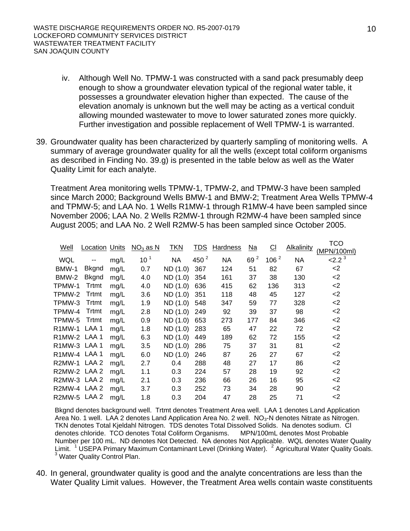- iv. Although Well No. TPMW-1 was constructed with a sand pack presumably deep enough to show a groundwater elevation typical of the regional water table, it possesses a groundwater elevation higher than expected. The cause of the elevation anomaly is unknown but the well may be acting as a vertical conduit allowing mounded wastewater to move to lower saturated zones more quickly. Further investigation and possible replacement of Well TPMW-1 is warranted.
- 39. Groundwater quality has been characterized by quarterly sampling of monitoring wells. A summary of average groundwater quality for all the wells (except total coliform organisms as described in Finding No. 39.g) is presented in the table below as well as the Water Quality Limit for each analyte.

Treatment Area monitoring wells TPMW-1, TPMW-2, and TPMW-3 have been sampled since March 2000; Background Wells BMW-1 and BMW-2; Treatment Area Wells TPMW-4 and TPMW-5; and LAA No. 1 Wells R1MW-1 through R1MW-4 have been sampled since November 2006; LAA No. 2 Wells R2MW-1 through R2MW-4 have been sampled since August 2005; and LAA No. 2 Well R2MW-5 has been sampled since October 2005.

| Well                | <b>Location Units</b> |      | $NO3$ as N      | <b>TKN</b> | <u>TDS</u> | <b>Hardness</b> | <u>Na</u>                     | $\underline{\text{CI}}$ | Alkalinity | TCO         |
|---------------------|-----------------------|------|-----------------|------------|------------|-----------------|-------------------------------|-------------------------|------------|-------------|
|                     |                       |      |                 |            |            |                 |                               |                         |            | (MPN/100ml) |
| <b>WQL</b>          |                       | mg/L | 10 <sup>1</sup> | <b>NA</b>  | 450 $2$    | <b>NA</b>       | $\overline{\mathbf{c}}$<br>69 | 106 $2$                 | NА         | $2.2^3$     |
| BMW-1               | <b>Bkgnd</b>          | mg/L | 0.7             | ND (1.0)   | 367        | 124             | 51                            | 82                      | 67         | $<$ 2       |
| BMW-2               | <b>Bkgnd</b>          | mg/L | 4.0             | ND (1.0)   | 354        | 161             | 37                            | 38                      | 130        | $<$ 2       |
| TPMW-1              | Trtmt                 | mg/L | 4.0             | ND (1.0)   | 636        | 415             | 62                            | 136                     | 313        | $<$ 2       |
| TPMW-2              | Trtmt                 | mg/L | 3.6             | ND (1.0)   | 351        | 118             | 48                            | 45                      | 127        | -2          |
| TPMW-3              | Trtmt                 | mg/L | 1.9             | ND (1.0)   | 548        | 347             | 59                            | 77                      | 328        | -2          |
| TPMW-4              | Trtmt                 | mg/L | 2.8             | ND (1.0)   | 249        | 92              | 39                            | 37                      | 98         | $<$ 2       |
| TPMW-5              | Trtmt                 | mg/L | 0.9             | ND (1.0)   | 653        | 273             | 177                           | 84                      | 346        | $<$ 2       |
| R <sub>1</sub> MW-1 | LAA1                  | mg/L | 1.8             | ND (1.0)   | 283        | 65              | 47                            | 22                      | 72         | $<$ 2       |
| R1MW-2 LAA 1        |                       | mg/L | 6.3             | ND (1.0)   | 449        | 189             | 62                            | 72                      | 155        | $<$ 2       |
| R1MW-3 LAA 1        |                       | mg/L | 3.5             | ND (1.0)   | 286        | 75              | 37                            | 31                      | 81         | -2          |
| R1MW-4 LAA 1        |                       | mg/L | 6.0             | ND (1.0)   | 246        | 87              | 26                            | 27                      | 67         | $<$ 2       |
| R2MW-1              | LAA 2                 | mg/L | 2.7             | 0.4        | 288        | 48              | 27                            | 17                      | 86         | $<$ 2       |
| R2MW-2 LAA 2        |                       | mg/L | 1.1             | 0.3        | 224        | 57              | 28                            | 19                      | 92         | $<$ 2       |
| R2MW-3 LAA 2        |                       | mg/L | 2.1             | 0.3        | 236        | 66              | 26                            | 16                      | 95         | $<$ 2       |
| R2MW-4              | LAA <sub>2</sub>      | mg/L | 3.7             | 0.3        | 252        | 73              | 34                            | 28                      | 90         | $<$ 2       |
| R2MW-5              | LAA <sub>2</sub>      | mq/L | 1.8             | 0.3        | 204        | 47              | 28                            | 25                      | 71         | $<$ 2       |

Bkgnd denotes background well. Trtmt denotes Treatment Area well. LAA 1 denotes Land Application Area No. 1 well. LAA 2 denotes Land Application Area No. 2 well.  $NO<sub>3</sub>-N$  denotes Nitrate as Nitrogen. TKN denotes Total Kjeldahl Nitrogen. TDS denotes Total Dissolved Solids. Na denotes sodium. Cl denotes chloride. TCO denotes Total Coliform Organisms. MPN/100mL denotes Most Probable Number per 100 mL. ND denotes Not Detected. NA denotes Not Applicable. WQL denotes Water Quality Limit. <sup>1</sup> USEPA Primary Maximum Contaminant Level (Drinking Water). <sup>2</sup> Agricultural Water Quality Goals.<br><sup>3</sup> Water Quality Central Plan <sup>3</sup> Water Quality Control Plan.

40. In general, groundwater quality is good and the analyte concentrations are less than the Water Quality Limit values. However, the Treatment Area wells contain waste constituents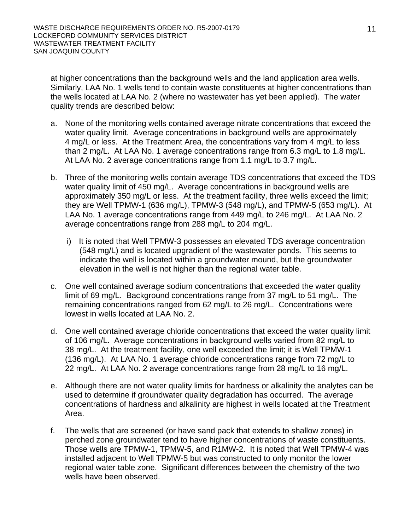at higher concentrations than the background wells and the land application area wells. Similarly, LAA No. 1 wells tend to contain waste constituents at higher concentrations than the wells located at LAA No. 2 (where no wastewater has yet been applied). The water quality trends are described below:

- a. None of the monitoring wells contained average nitrate concentrations that exceed the water quality limit. Average concentrations in background wells are approximately 4 mg/L or less. At the Treatment Area, the concentrations vary from 4 mg/L to less than 2 mg/L. At LAA No. 1 average concentrations range from 6.3 mg/L to 1.8 mg/L. At LAA No. 2 average concentrations range from 1.1 mg/L to 3.7 mg/L.
- b. Three of the monitoring wells contain average TDS concentrations that exceed the TDS water quality limit of 450 mg/L. Average concentrations in background wells are approximately 350 mg/L or less. At the treatment facility, three wells exceed the limit; they are Well TPMW-1 (636 mg/L), TPMW-3 (548 mg/L), and TPMW-5 (653 mg/L). At LAA No. 1 average concentrations range from 449 mg/L to 246 mg/L. At LAA No. 2 average concentrations range from 288 mg/L to 204 mg/L.
	- i) It is noted that Well TPMW-3 possesses an elevated TDS average concentration (548 mg/L) and is located upgradient of the wastewater ponds. This seems to indicate the well is located within a groundwater mound, but the groundwater elevation in the well is not higher than the regional water table.
- c. One well contained average sodium concentrations that exceeded the water quality limit of 69 mg/L. Background concentrations range from 37 mg/L to 51 mg/L. The remaining concentrations ranged from 62 mg/L to 26 mg/L. Concentrations were lowest in wells located at LAA No. 2.
- d. One well contained average chloride concentrations that exceed the water quality limit of 106 mg/L. Average concentrations in background wells varied from 82 mg/L to 38 mg/L. At the treatment facility, one well exceeded the limit; it is Well TPMW-1 (136 mg/L). At LAA No. 1 average chloride concentrations range from 72 mg/L to 22 mg/L. At LAA No. 2 average concentrations range from 28 mg/L to 16 mg/L.
- e. Although there are not water quality limits for hardness or alkalinity the analytes can be used to determine if groundwater quality degradation has occurred. The average concentrations of hardness and alkalinity are highest in wells located at the Treatment Area.
- f. The wells that are screened (or have sand pack that extends to shallow zones) in perched zone groundwater tend to have higher concentrations of waste constituents. Those wells are TPMW-1, TPMW-5, and R1MW-2. It is noted that Well TPMW-4 was installed adjacent to Well TPMW-5 but was constructed to only monitor the lower regional water table zone. Significant differences between the chemistry of the two wells have been observed.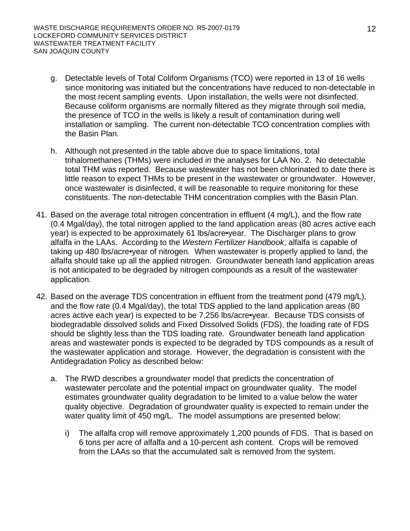- g. Detectable levels of Total Coliform Organisms (TCO) were reported in 13 of 16 wells since monitoring was initiated but the concentrations have reduced to non-detectable in the most recent sampling events. Upon installation, the wells were not disinfected. Because coliform organisms are normally filtered as they migrate through soil media, the presence of TCO in the wells is likely a result of contamination during well installation or sampling. The current non-detectable TCO concentration complies with the Basin Plan.
- h. Although not presented in the table above due to space limitations, total trihalomethanes (THMs) were included in the analyses for LAA No. 2. No detectable total THM was reported. Because wastewater has not been chlorinated to date there is little reason to expect THMs to be present in the wastewater or groundwater. However, once wastewater is disinfected, it will be reasonable to require monitoring for these constituents. The non-detectable THM concentration complies with the Basin Plan.
- 41. Based on the average total nitrogen concentration in effluent (4 mg/L), and the flow rate (0.4 Mgal/day), the total nitrogen applied to the land application areas (80 acres active each year) is expected to be approximately 61 lbs/acre•year. The Discharger plans to grow alfalfa in the LAAs. According to the *Western Fertilizer Handbook*, alfalfa is capable of taking up 480 lbs/acre•year of nitrogen. When wastewater is properly applied to land, the alfalfa should take up all the applied nitrogen. Groundwater beneath land application areas is not anticipated to be degraded by nitrogen compounds as a result of the wastewater application.
- 42. Based on the average TDS concentration in effluent from the treatment pond (479 mg/L), and the flow rate (0.4 Mgal/day), the total TDS applied to the land application areas (80 acres active each year) is expected to be 7,256 lbs/acre•year. Because TDS consists of biodegradable dissolved solids and Fixed Dissolved Solids (FDS), the loading rate of FDS should be slightly less than the TDS loading rate. Groundwater beneath land application areas and wastewater ponds is expected to be degraded by TDS compounds as a result of the wastewater application and storage. However, the degradation is consistent with the Antidegradation Policy as described below:
	- a. The RWD describes a groundwater model that predicts the concentration of wastewater percolate and the potential impact on groundwater quality. The model estimates groundwater quality degradation to be limited to a value below the water quality objective. Degradation of groundwater quality is expected to remain under the water quality limit of 450 mg/L. The model assumptions are presented below:
		- i) The alfalfa crop will remove approximately 1,200 pounds of FDS. That is based on 6 tons per acre of alfalfa and a 10-percent ash content. Crops will be removed from the LAAs so that the accumulated salt is removed from the system.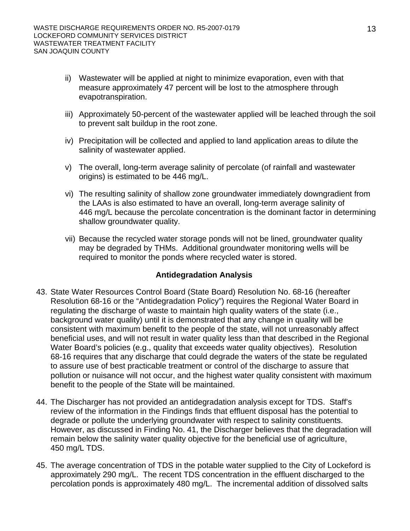- ii) Wastewater will be applied at night to minimize evaporation, even with that measure approximately 47 percent will be lost to the atmosphere through evapotranspiration.
- iii) Approximately 50-percent of the wastewater applied will be leached through the soil to prevent salt buildup in the root zone.
- iv) Precipitation will be collected and applied to land application areas to dilute the salinity of wastewater applied.
- v) The overall, long-term average salinity of percolate (of rainfall and wastewater origins) is estimated to be 446 mg/L.
- vi) The resulting salinity of shallow zone groundwater immediately downgradient from the LAAs is also estimated to have an overall, long-term average salinity of 446 mg/L because the percolate concentration is the dominant factor in determining shallow groundwater quality.
- vii) Because the recycled water storage ponds will not be lined, groundwater quality may be degraded by THMs. Additional groundwater monitoring wells will be required to monitor the ponds where recycled water is stored.

## **Antidegradation Analysis**

- 43. State Water Resources Control Board (State Board) Resolution No. 68-16 (hereafter Resolution 68-16 or the "Antidegradation Policy") requires the Regional Water Board in regulating the discharge of waste to maintain high quality waters of the state (i.e., background water quality) until it is demonstrated that any change in quality will be consistent with maximum benefit to the people of the state, will not unreasonably affect beneficial uses, and will not result in water quality less than that described in the Regional Water Board's policies (e.g., quality that exceeds water quality objectives). Resolution 68-16 requires that any discharge that could degrade the waters of the state be regulated to assure use of best practicable treatment or control of the discharge to assure that pollution or nuisance will not occur, and the highest water quality consistent with maximum benefit to the people of the State will be maintained.
- 44. The Discharger has not provided an antidegradation analysis except for TDS. Staff's review of the information in the Findings finds that effluent disposal has the potential to degrade or pollute the underlying groundwater with respect to salinity constituents. However, as discussed in Finding No. 41, the Discharger believes that the degradation will remain below the salinity water quality objective for the beneficial use of agriculture, 450 mg/L TDS.
- 45. The average concentration of TDS in the potable water supplied to the City of Lockeford is approximately 290 mg/L. The recent TDS concentration in the effluent discharged to the percolation ponds is approximately 480 mg/L. The incremental addition of dissolved salts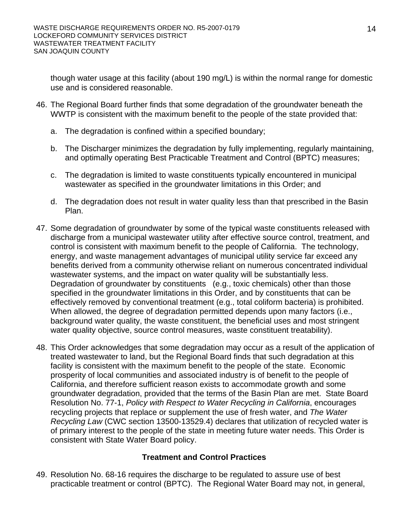though water usage at this facility (about 190 mg/L) is within the normal range for domestic use and is considered reasonable.

- 46. The Regional Board further finds that some degradation of the groundwater beneath the WWTP is consistent with the maximum benefit to the people of the state provided that:
	- a. The degradation is confined within a specified boundary;
	- b. The Discharger minimizes the degradation by fully implementing, regularly maintaining, and optimally operating Best Practicable Treatment and Control (BPTC) measures;
	- c. The degradation is limited to waste constituents typically encountered in municipal wastewater as specified in the groundwater limitations in this Order; and
	- d. The degradation does not result in water quality less than that prescribed in the Basin Plan.
- 47. Some degradation of groundwater by some of the typical waste constituents released with discharge from a municipal wastewater utility after effective source control, treatment, and control is consistent with maximum benefit to the people of California. The technology, energy, and waste management advantages of municipal utility service far exceed any benefits derived from a community otherwise reliant on numerous concentrated individual wastewater systems, and the impact on water quality will be substantially less. Degradation of groundwater by constituents (e.g., toxic chemicals) other than those specified in the groundwater limitations in this Order, and by constituents that can be effectively removed by conventional treatment (e.g., total coliform bacteria) is prohibited. When allowed, the degree of degradation permitted depends upon many factors (i.e., background water quality, the waste constituent, the beneficial uses and most stringent water quality objective, source control measures, waste constituent treatability).
- 48. This Order acknowledges that some degradation may occur as a result of the application of treated wastewater to land, but the Regional Board finds that such degradation at this facility is consistent with the maximum benefit to the people of the state. Economic prosperity of local communities and associated industry is of benefit to the people of California, and therefore sufficient reason exists to accommodate growth and some groundwater degradation, provided that the terms of the Basin Plan are met. State Board Resolution No. 77-1, *Policy with Respect to Water Recycling in California*, encourages recycling projects that replace or supplement the use of fresh water, and *The Water Recycling Law* (CWC section 13500-13529.4) declares that utilization of recycled water is of primary interest to the people of the state in meeting future water needs. This Order is consistent with State Water Board policy.

## **Treatment and Control Practices**

49. Resolution No. 68-16 requires the discharge to be regulated to assure use of best practicable treatment or control (BPTC). The Regional Water Board may not, in general,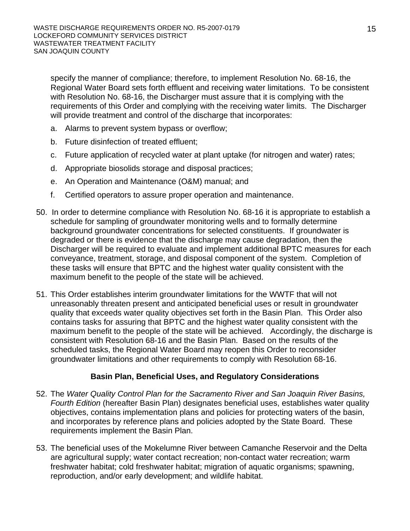specify the manner of compliance; therefore, to implement Resolution No. 68-16, the Regional Water Board sets forth effluent and receiving water limitations. To be consistent with Resolution No. 68-16, the Discharger must assure that it is complying with the requirements of this Order and complying with the receiving water limits. The Discharger will provide treatment and control of the discharge that incorporates:

- a. Alarms to prevent system bypass or overflow;
- b. Future disinfection of treated effluent;
- c. Future application of recycled water at plant uptake (for nitrogen and water) rates;
- d. Appropriate biosolids storage and disposal practices;
- e. An Operation and Maintenance (O&M) manual; and
- f. Certified operators to assure proper operation and maintenance.
- 50. In order to determine compliance with Resolution No. 68-16 it is appropriate to establish a schedule for sampling of groundwater monitoring wells and to formally determine background groundwater concentrations for selected constituents. If groundwater is degraded or there is evidence that the discharge may cause degradation, then the Discharger will be required to evaluate and implement additional BPTC measures for each conveyance, treatment, storage, and disposal component of the system. Completion of these tasks will ensure that BPTC and the highest water quality consistent with the maximum benefit to the people of the state will be achieved.
- 51. This Order establishes interim groundwater limitations for the WWTF that will not unreasonably threaten present and anticipated beneficial uses or result in groundwater quality that exceeds water quality objectives set forth in the Basin Plan. This Order also contains tasks for assuring that BPTC and the highest water quality consistent with the maximum benefit to the people of the state will be achieved. Accordingly, the discharge is consistent with Resolution 68-16 and the Basin Plan. Based on the results of the scheduled tasks, the Regional Water Board may reopen this Order to reconsider groundwater limitations and other requirements to comply with Resolution 68-16.

## **Basin Plan, Beneficial Uses, and Regulatory Considerations**

- 52. The *Water Quality Control Plan for the Sacramento River and San Joaquin River Basins, Fourth Edition* (hereafter Basin Plan) designates beneficial uses, establishes water quality objectives, contains implementation plans and policies for protecting waters of the basin, and incorporates by reference plans and policies adopted by the State Board. These requirements implement the Basin Plan.
- 53. The beneficial uses of the Mokelumne River between Camanche Reservoir and the Delta are agricultural supply; water contact recreation; non-contact water recreation; warm freshwater habitat; cold freshwater habitat; migration of aquatic organisms; spawning, reproduction, and/or early development; and wildlife habitat.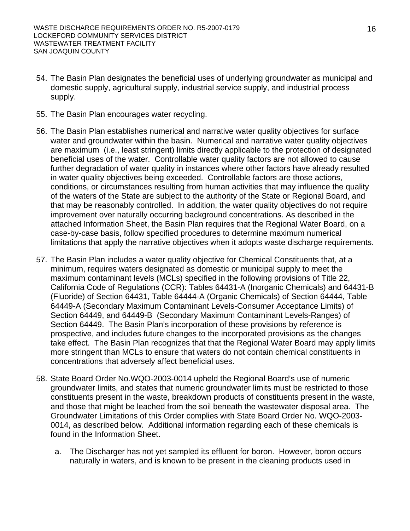- 54. The Basin Plan designates the beneficial uses of underlying groundwater as municipal and domestic supply, agricultural supply, industrial service supply, and industrial process supply.
- 55. The Basin Plan encourages water recycling.
- 56. The Basin Plan establishes numerical and narrative water quality objectives for surface water and groundwater within the basin. Numerical and narrative water quality objectives are maximum (i.e., least stringent) limits directly applicable to the protection of designated beneficial uses of the water. Controllable water quality factors are not allowed to cause further degradation of water quality in instances where other factors have already resulted in water quality objectives being exceeded. Controllable factors are those actions, conditions, or circumstances resulting from human activities that may influence the quality of the waters of the State are subject to the authority of the State or Regional Board, and that may be reasonably controlled. In addition, the water quality objectives do not require improvement over naturally occurring background concentrations. As described in the attached Information Sheet, the Basin Plan requires that the Regional Water Board, on a case-by-case basis, follow specified procedures to determine maximum numerical limitations that apply the narrative objectives when it adopts waste discharge requirements.
- 57. The Basin Plan includes a water quality objective for Chemical Constituents that, at a minimum, requires waters designated as domestic or municipal supply to meet the maximum contaminant levels (MCLs) specified in the following provisions of Title 22, California Code of Regulations (CCR): Tables 64431-A (Inorganic Chemicals) and 64431-B (Fluoride) of Section 64431, Table 64444-A (Organic Chemicals) of Section 64444, Table 64449-A (Secondary Maximum Contaminant Levels-Consumer Acceptance Limits) of Section 64449, and 64449-B (Secondary Maximum Contaminant Levels-Ranges) of Section 64449. The Basin Plan's incorporation of these provisions by reference is prospective, and includes future changes to the incorporated provisions as the changes take effect. The Basin Plan recognizes that that the Regional Water Board may apply limits more stringent than MCLs to ensure that waters do not contain chemical constituents in concentrations that adversely affect beneficial uses.
- 58. State Board Order No.WQO-2003-0014 upheld the Regional Board's use of numeric groundwater limits, and states that numeric groundwater limits must be restricted to those constituents present in the waste, breakdown products of constituents present in the waste, and those that might be leached from the soil beneath the wastewater disposal area. The Groundwater Limitations of this Order complies with State Board Order No. WQO-2003- 0014, as described below. Additional information regarding each of these chemicals is found in the Information Sheet.
	- a. The Discharger has not yet sampled its effluent for boron. However, boron occurs naturally in waters, and is known to be present in the cleaning products used in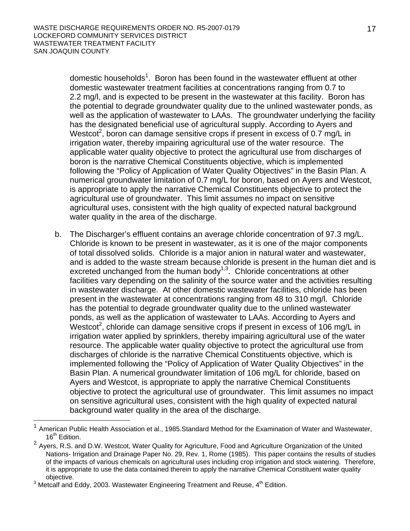domestic households<sup>1</sup>. Boron has been found in the wastewater effluent at other domestic wastewater treatment facilities at concentrations ranging from 0.7 to 2.2 mg/l, and is expected to be present in the wastewater at this facility. Boron has the potential to degrade groundwater quality due to the unlined wastewater ponds, as well as the application of wastewater to LAAs. The groundwater underlying the facility has the designated beneficial use of agricultural supply. According to Ayers and Westcot<sup>2</sup>, boron can damage sensitive crops if present in excess of 0.7 mg/L in irrigation water, thereby impairing agricultural use of the water resource. The applicable water quality objective to protect the agricultural use from discharges of boron is the narrative Chemical Constituents objective, which is implemented following the "Policy of Application of Water Quality Objectives" in the Basin Plan. A numerical groundwater limitation of 0.7 mg/L for boron, based on Ayers and Westcot, is appropriate to apply the narrative Chemical Constituents objective to protect the agricultural use of groundwater. This limit assumes no impact on sensitive agricultural uses, consistent with the high quality of expected natural background water quality in the area of the discharge.

b. The Discharger's effluent contains an average chloride concentration of 97.3 mg/L. Chloride is known to be present in wastewater, as it is one of the major components of total dissolved solids. Chloride is a major anion in natural water and wastewater, and is added to the waste stream because chloride is present in the human diet and is excreted unchanged from the human body<sup>1,3</sup>. Chloride concentrations at other facilities vary depending on the salinity of the source water and the activities resulting in wastewater discharge. At other domestic wastewater facilities, chloride has been present in the wastewater at concentrations ranging from 48 to 310 mg/l. Chloride has the potential to degrade groundwater quality due to the unlined wastewater ponds, as well as the application of wastewater to LAAs. According to Ayers and Westcot<sup>2</sup>, chloride can damage sensitive crops if present in excess of 106 mg/L in irrigation water applied by sprinklers, thereby impairing agricultural use of the water resource. The applicable water quality objective to protect the agricultural use from discharges of chloride is the narrative Chemical Constituents objective, which is implemented following the "Policy of Application of Water Quality Objectives" in the Basin Plan. A numerical groundwater limitation of 106 mg/L for chloride, based on Ayers and Westcot, is appropriate to apply the narrative Chemical Constituents objective to protect the agricultural use of groundwater. This limit assumes no impact on sensitive agricultural uses, consistent with the high quality of expected natural background water quality in the area of the discharge.

l

<sup>1</sup> American Public Health Association et al., 1985.Standard Method for the Examination of Water and Wastewater, 16<sup>th</sup> Edition.

<sup>&</sup>lt;sup>2</sup> Ayers, R.S. and D.W. Westcot, Water Quality for Agriculture, Food and Agriculture Organization of the United Nations- Irrigation and Drainage Paper No. 29, Rev. 1, Rome (1985). This paper contains the results of studies of the impacts of various chemicals on agricultural uses including crop irrigation and stock watering. Therefore, it is appropriate to use the data contained therein to apply the narrative Chemical Constituent water quality

objective.<br><sup>3</sup> Metcalf and Eddy, 2003. Wastewater Engineering Treatment and Reuse, 4<sup>th</sup> Edition.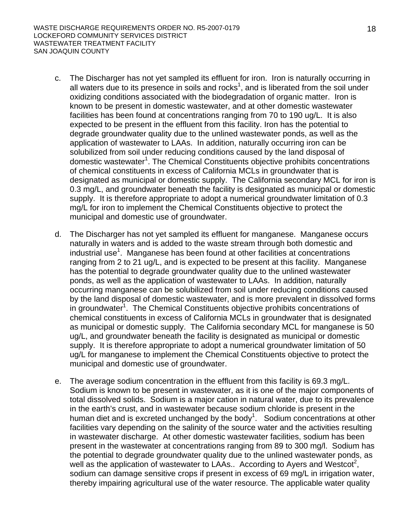- c. The Discharger has not yet sampled its effluent for iron. Iron is naturally occurring in all waters due to its presence in soils and rocks<sup>1</sup>, and is liberated from the soil under oxidizing conditions associated with the biodegradation of organic matter. Iron is known to be present in domestic wastewater, and at other domestic wastewater facilities has been found at concentrations ranging from 70 to 190 ug/L. It is also expected to be present in the effluent from this facility. Iron has the potential to degrade groundwater quality due to the unlined wastewater ponds, as well as the application of wastewater to LAAs. In addition, naturally occurring iron can be solubilized from soil under reducing conditions caused by the land disposal of domestic wastewater<sup>1</sup>. The Chemical Constituents objective prohibits concentrations of chemical constituents in excess of California MCLs in groundwater that is designated as municipal or domestic supply. The California secondary MCL for iron is 0.3 mg/L, and groundwater beneath the facility is designated as municipal or domestic supply. It is therefore appropriate to adopt a numerical groundwater limitation of 0.3 mg/L for iron to implement the Chemical Constituents objective to protect the municipal and domestic use of groundwater.
- d. The Discharger has not yet sampled its effluent for manganese. Manganese occurs naturally in waters and is added to the waste stream through both domestic and industrial use<sup>1</sup>. Manganese has been found at other facilities at concentrations ranging from 2 to 21 ug/L, and is expected to be present at this facility. Manganese has the potential to degrade groundwater quality due to the unlined wastewater ponds, as well as the application of wastewater to LAAs. In addition, naturally occurring manganese can be solubilized from soil under reducing conditions caused by the land disposal of domestic wastewater, and is more prevalent in dissolved forms in groundwater<sup>1</sup>. The Chemical Constituents objective prohibits concentrations of chemical constituents in excess of California MCLs in groundwater that is designated as municipal or domestic supply. The California secondary MCL for manganese is 50 ug/L, and groundwater beneath the facility is designated as municipal or domestic supply. It is therefore appropriate to adopt a numerical groundwater limitation of 50 ug/L for manganese to implement the Chemical Constituents objective to protect the municipal and domestic use of groundwater.
- e. The average sodium concentration in the effluent from this facility is 69.3 mg/L. Sodium is known to be present in wastewater, as it is one of the major components of total dissolved solids. Sodium is a major cation in natural water, due to its prevalence in the earth's crust, and in wastewater because sodium chloride is present in the human diet and is excreted unchanged by the body<sup>1</sup>. Sodium concentrations at other facilities vary depending on the salinity of the source water and the activities resulting in wastewater discharge. At other domestic wastewater facilities, sodium has been present in the wastewater at concentrations ranging from 89 to 300 mg/l. Sodium has the potential to degrade groundwater quality due to the unlined wastewater ponds, as well as the application of wastewater to LAAs.. According to Ayers and Westcot<sup>2</sup>, sodium can damage sensitive crops if present in excess of 69 mg/L in irrigation water, thereby impairing agricultural use of the water resource. The applicable water quality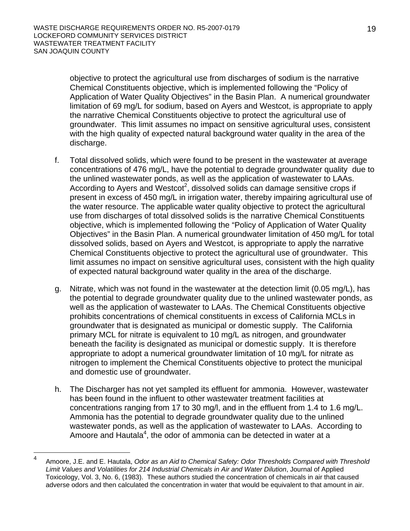objective to protect the agricultural use from discharges of sodium is the narrative Chemical Constituents objective, which is implemented following the "Policy of Application of Water Quality Objectives" in the Basin Plan. A numerical groundwater limitation of 69 mg/L for sodium, based on Ayers and Westcot, is appropriate to apply the narrative Chemical Constituents objective to protect the agricultural use of groundwater. This limit assumes no impact on sensitive agricultural uses, consistent with the high quality of expected natural background water quality in the area of the discharge.

- f. Total dissolved solids, which were found to be present in the wastewater at average concentrations of 476 mg/L, have the potential to degrade groundwater quality due to the unlined wastewater ponds, as well as the application of wastewater to LAAs. According to Ayers and Westcot<sup>2</sup>, dissolved solids can damage sensitive crops if present in excess of 450 mg/L in irrigation water, thereby impairing agricultural use of the water resource. The applicable water quality objective to protect the agricultural use from discharges of total dissolved solids is the narrative Chemical Constituents objective, which is implemented following the "Policy of Application of Water Quality Objectives" in the Basin Plan. A numerical groundwater limitation of 450 mg/L for total dissolved solids, based on Ayers and Westcot, is appropriate to apply the narrative Chemical Constituents objective to protect the agricultural use of groundwater. This limit assumes no impact on sensitive agricultural uses, consistent with the high quality of expected natural background water quality in the area of the discharge.
- g. Nitrate, which was not found in the wastewater at the detection limit (0.05 mg/L), has the potential to degrade groundwater quality due to the unlined wastewater ponds, as well as the application of wastewater to LAAs. The Chemical Constituents objective prohibits concentrations of chemical constituents in excess of California MCLs in groundwater that is designated as municipal or domestic supply. The California primary MCL for nitrate is equivalent to 10 mg/L as nitrogen, and groundwater beneath the facility is designated as municipal or domestic supply. It is therefore appropriate to adopt a numerical groundwater limitation of 10 mg/L for nitrate as nitrogen to implement the Chemical Constituents objective to protect the municipal and domestic use of groundwater.
- h. The Discharger has not yet sampled its effluent for ammonia. However, wastewater has been found in the influent to other wastewater treatment facilities at concentrations ranging from 17 to 30 mg/l, and in the effluent from 1.4 to 1.6 mg/L. Ammonia has the potential to degrade groundwater quality due to the unlined wastewater ponds, as well as the application of wastewater to LAAs. According to Amoore and Hautala<sup>4</sup>, the odor of ammonia can be detected in water at a

 $\frac{1}{4}$  Amoore, J.E. and E. Hautala, *Odor as an Aid to Chemical Safety: Odor Thresholds Compared with Threshold Limit Values and Volatilities for 214 Industrial Chemicals in Air and Water Dilution*, Journal of Applied Toxicology, Vol. 3, No. 6, (1983). These authors studied the concentration of chemicals in air that caused adverse odors and then calculated the concentration in water that would be equivalent to that amount in air.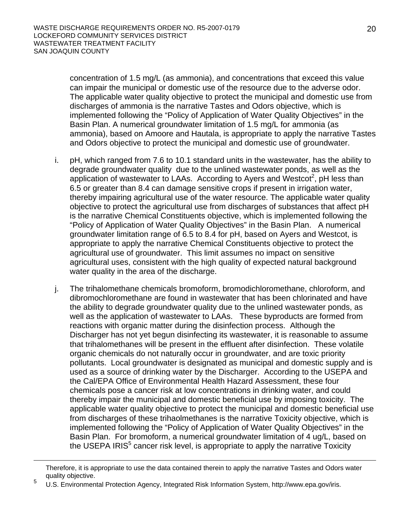concentration of 1.5 mg/L (as ammonia), and concentrations that exceed this value can impair the municipal or domestic use of the resource due to the adverse odor. The applicable water quality objective to protect the municipal and domestic use from discharges of ammonia is the narrative Tastes and Odors objective, which is implemented following the "Policy of Application of Water Quality Objectives" in the Basin Plan. A numerical groundwater limitation of 1.5 mg/L for ammonia (as ammonia), based on Amoore and Hautala, is appropriate to apply the narrative Tastes and Odors objective to protect the municipal and domestic use of groundwater.

- i. pH, which ranged from 7.6 to 10.1 standard units in the wastewater, has the ability to degrade groundwater quality due to the unlined wastewater ponds, as well as the application of wastewater to LAAs. According to Ayers and Westcot<sup>2</sup>, pH less than 6.5 or greater than 8.4 can damage sensitive crops if present in irrigation water, thereby impairing agricultural use of the water resource. The applicable water quality objective to protect the agricultural use from discharges of substances that affect pH is the narrative Chemical Constituents objective, which is implemented following the "Policy of Application of Water Quality Objectives" in the Basin Plan. A numerical groundwater limitation range of 6.5 to 8.4 for pH, based on Ayers and Westcot, is appropriate to apply the narrative Chemical Constituents objective to protect the agricultural use of groundwater. This limit assumes no impact on sensitive agricultural uses, consistent with the high quality of expected natural background water quality in the area of the discharge.
- j. The trihalomethane chemicals bromoform, bromodichloromethane, chloroform, and dibromochloromethane are found in wastewater that has been chlorinated and have the ability to degrade groundwater quality due to the unlined wastewater ponds, as well as the application of wastewater to LAAs. These byproducts are formed from reactions with organic matter during the disinfection process. Although the Discharger has not yet begun disinfecting its wastewater, it is reasonable to assume that trihalomethanes will be present in the effluent after disinfection. These volatile organic chemicals do not naturally occur in groundwater, and are toxic priority pollutants. Local groundwater is designated as municipal and domestic supply and is used as a source of drinking water by the Discharger. According to the USEPA and the Cal/EPA Office of Environmental Health Hazard Assessment, these four chemicals pose a cancer risk at low concentrations in drinking water, and could thereby impair the municipal and domestic beneficial use by imposing toxicity. The applicable water quality objective to protect the municipal and domestic beneficial use from discharges of these trihaolmethanes is the narrative Toxicity objective, which is implemented following the "Policy of Application of Water Quality Objectives" in the Basin Plan. For bromoform, a numerical groundwater limitation of 4 ug/L, based on the USEPA IRIS $5$  cancer risk level, is appropriate to apply the narrative Toxicity

Therefore, it is appropriate to use the data contained therein to apply the narrative Tastes and Odors water quality objective.

<sup>5</sup> U.S. Environmental Protection Agency, Integrated Risk Information System, http://www.epa.gov/iris.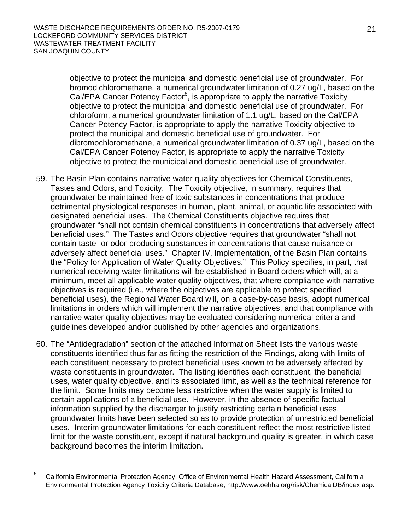objective to protect the municipal and domestic beneficial use of groundwater. For bromodichloromethane, a numerical groundwater limitation of 0.27 ug/L, based on the Cal/EPA Cancer Potency Factor<sup>6</sup>, is appropriate to apply the narrative Toxicity objective to protect the municipal and domestic beneficial use of groundwater. For chloroform, a numerical groundwater limitation of 1.1 ug/L, based on the Cal/EPA Cancer Potency Factor, is appropriate to apply the narrative Toxicity objective to protect the municipal and domestic beneficial use of groundwater. For dibromochloromethane, a numerical groundwater limitation of 0.37 ug/L, based on the Cal/EPA Cancer Potency Factor, is appropriate to apply the narrative Toxicity objective to protect the municipal and domestic beneficial use of groundwater.

- 59. The Basin Plan contains narrative water quality objectives for Chemical Constituents, Tastes and Odors, and Toxicity. The Toxicity objective, in summary, requires that groundwater be maintained free of toxic substances in concentrations that produce detrimental physiological responses in human, plant, animal, or aquatic life associated with designated beneficial uses. The Chemical Constituents objective requires that groundwater "shall not contain chemical constituents in concentrations that adversely affect beneficial uses." The Tastes and Odors objective requires that groundwater "shall not contain taste- or odor-producing substances in concentrations that cause nuisance or adversely affect beneficial uses." Chapter IV, Implementation, of the Basin Plan contains the "Policy for Application of Water Quality Objectives." This Policy specifies, in part, that numerical receiving water limitations will be established in Board orders which will, at a minimum, meet all applicable water quality objectives, that where compliance with narrative objectives is required (i.e., where the objectives are applicable to protect specified beneficial uses), the Regional Water Board will, on a case-by-case basis, adopt numerical limitations in orders which will implement the narrative objectives, and that compliance with narrative water quality objectives may be evaluated considering numerical criteria and guidelines developed and/or published by other agencies and organizations.
- 60. The "Antidegradation" section of the attached Information Sheet lists the various waste constituents identified thus far as fitting the restriction of the Findings, along with limits of each constituent necessary to protect beneficial uses known to be adversely affected by waste constituents in groundwater. The listing identifies each constituent, the beneficial uses, water quality objective, and its associated limit, as well as the technical reference for the limit. Some limits may become less restrictive when the water supply is limited to certain applications of a beneficial use. However, in the absence of specific factual information supplied by the discharger to justify restricting certain beneficial uses, groundwater limits have been selected so as to provide protection of unrestricted beneficial uses. Interim groundwater limitations for each constituent reflect the most restrictive listed limit for the waste constituent, except if natural background quality is greater, in which case background becomes the interim limitation.

 $\frac{1}{6}$  California Environmental Protection Agency, Office of Environmental Health Hazard Assessment, California Environmental Protection Agency Toxicity Criteria Database, http://www.oehha.org/risk/ChemicalDB/index.asp.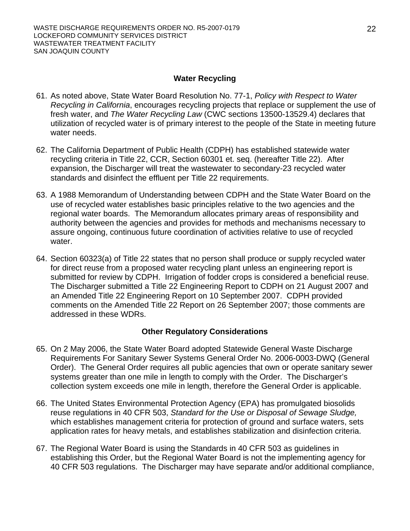#### **Water Recycling**

- 61. As noted above, State Water Board Resolution No. 77-1, *Policy with Respect to Water Recycling in California*, encourages recycling projects that replace or supplement the use of fresh water, and *The Water Recycling Law* (CWC sections 13500-13529.4) declares that utilization of recycled water is of primary interest to the people of the State in meeting future water needs.
- 62. The California Department of Public Health (CDPH) has established statewide water recycling criteria in Title 22, CCR, Section 60301 et. seq. (hereafter Title 22). After expansion, the Discharger will treat the wastewater to secondary-23 recycled water standards and disinfect the effluent per Title 22 requirements.
- 63. A 1988 Memorandum of Understanding between CDPH and the State Water Board on the use of recycled water establishes basic principles relative to the two agencies and the regional water boards. The Memorandum allocates primary areas of responsibility and authority between the agencies and provides for methods and mechanisms necessary to assure ongoing, continuous future coordination of activities relative to use of recycled water.
- 64. Section 60323(a) of Title 22 states that no person shall produce or supply recycled water for direct reuse from a proposed water recycling plant unless an engineering report is submitted for review by CDPH. Irrigation of fodder crops is considered a beneficial reuse. The Discharger submitted a Title 22 Engineering Report to CDPH on 21 August 2007 and an Amended Title 22 Engineering Report on 10 September 2007. CDPH provided comments on the Amended Title 22 Report on 26 September 2007; those comments are addressed in these WDRs.

#### **Other Regulatory Considerations**

- 65. On 2 May 2006, the State Water Board adopted Statewide General Waste Discharge Requirements For Sanitary Sewer Systems General Order No. 2006-0003-DWQ (General Order). The General Order requires all public agencies that own or operate sanitary sewer systems greater than one mile in length to comply with the Order. The Discharger's collection system exceeds one mile in length, therefore the General Order is applicable.
- 66. The United States Environmental Protection Agency (EPA) has promulgated biosolids reuse regulations in 40 CFR 503, *Standard for the Use or Disposal of Sewage Sludge,*  which establishes management criteria for protection of ground and surface waters, sets application rates for heavy metals, and establishes stabilization and disinfection criteria.
- 67. The Regional Water Board is using the Standards in 40 CFR 503 as guidelines in establishing this Order, but the Regional Water Board is not the implementing agency for 40 CFR 503 regulations. The Discharger may have separate and/or additional compliance,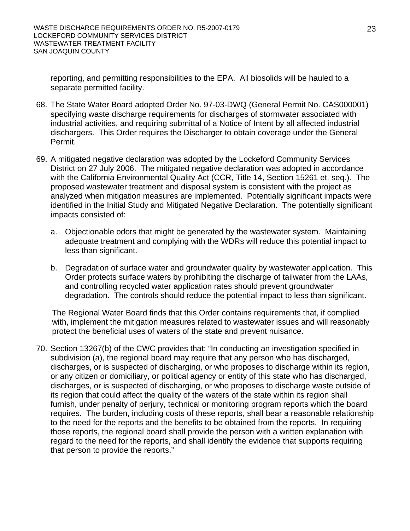reporting, and permitting responsibilities to the EPA. All biosolids will be hauled to a separate permitted facility.

- 68. The State Water Board adopted Order No. 97-03-DWQ (General Permit No. CAS000001) specifying waste discharge requirements for discharges of stormwater associated with industrial activities, and requiring submittal of a Notice of Intent by all affected industrial dischargers. This Order requires the Discharger to obtain coverage under the General Permit.
- 69. A mitigated negative declaration was adopted by the Lockeford Community Services District on 27 July 2006. The mitigated negative declaration was adopted in accordance with the California Environmental Quality Act (CCR, Title 14, Section 15261 et. seq.). The proposed wastewater treatment and disposal system is consistent with the project as analyzed when mitigation measures are implemented. Potentially significant impacts were identified in the Initial Study and Mitigated Negative Declaration. The potentially significant impacts consisted of:
	- a. Objectionable odors that might be generated by the wastewater system. Maintaining adequate treatment and complying with the WDRs will reduce this potential impact to less than significant.
	- b. Degradation of surface water and groundwater quality by wastewater application. This Order protects surface waters by prohibiting the discharge of tailwater from the LAAs, and controlling recycled water application rates should prevent groundwater degradation. The controls should reduce the potential impact to less than significant.

The Regional Water Board finds that this Order contains requirements that, if complied with, implement the mitigation measures related to wastewater issues and will reasonably protect the beneficial uses of waters of the state and prevent nuisance.

70. Section 13267(b) of the CWC provides that: "In conducting an investigation specified in subdivision (a), the regional board may require that any person who has discharged, discharges, or is suspected of discharging, or who proposes to discharge within its region, or any citizen or domiciliary, or political agency or entity of this state who has discharged, discharges, or is suspected of discharging, or who proposes to discharge waste outside of its region that could affect the quality of the waters of the state within its region shall furnish, under penalty of perjury, technical or monitoring program reports which the board requires. The burden, including costs of these reports, shall bear a reasonable relationship to the need for the reports and the benefits to be obtained from the reports. In requiring those reports, the regional board shall provide the person with a written explanation with regard to the need for the reports, and shall identify the evidence that supports requiring that person to provide the reports."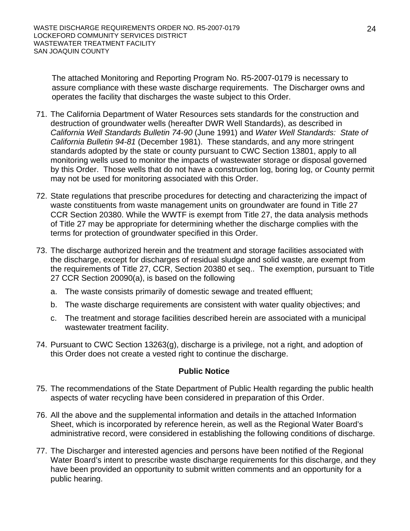The attached Monitoring and Reporting Program No. R5-2007-0179 is necessary to assure compliance with these waste discharge requirements. The Discharger owns and operates the facility that discharges the waste subject to this Order.

- 71. The California Department of Water Resources sets standards for the construction and destruction of groundwater wells (hereafter DWR Well Standards), as described in *California Well Standards Bulletin 74-90* (June 1991) and *Water Well Standards: State of California Bulletin 94-81* (December 1981). These standards, and any more stringent standards adopted by the state or county pursuant to CWC Section 13801, apply to all monitoring wells used to monitor the impacts of wastewater storage or disposal governed by this Order. Those wells that do not have a construction log, boring log, or County permit may not be used for monitoring associated with this Order.
- 72. State regulations that prescribe procedures for detecting and characterizing the impact of waste constituents from waste management units on groundwater are found in Title 27 CCR Section 20380. While the WWTF is exempt from Title 27, the data analysis methods of Title 27 may be appropriate for determining whether the discharge complies with the terms for protection of groundwater specified in this Order.
- 73. The discharge authorized herein and the treatment and storage facilities associated with the discharge, except for discharges of residual sludge and solid waste, are exempt from the requirements of Title 27, CCR, Section 20380 et seq.. The exemption, pursuant to Title 27 CCR Section 20090(a), is based on the following
	- a. The waste consists primarily of domestic sewage and treated effluent;
	- b. The waste discharge requirements are consistent with water quality objectives; and
	- c. The treatment and storage facilities described herein are associated with a municipal wastewater treatment facility.
- 74. Pursuant to CWC Section 13263(g), discharge is a privilege, not a right, and adoption of this Order does not create a vested right to continue the discharge.

#### **Public Notice**

- 75. The recommendations of the State Department of Public Health regarding the public health aspects of water recycling have been considered in preparation of this Order.
- 76. All the above and the supplemental information and details in the attached Information Sheet, which is incorporated by reference herein, as well as the Regional Water Board's administrative record, were considered in establishing the following conditions of discharge.
- 77. The Discharger and interested agencies and persons have been notified of the Regional Water Board's intent to prescribe waste discharge requirements for this discharge, and they have been provided an opportunity to submit written comments and an opportunity for a public hearing.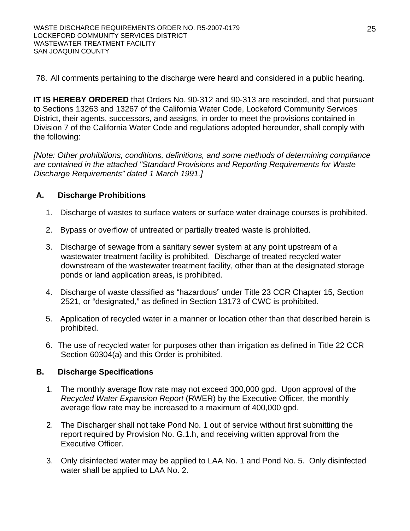78. All comments pertaining to the discharge were heard and considered in a public hearing.

**IT IS HEREBY ORDERED** that Orders No. 90-312 and 90-313 are rescinded, and that pursuant to Sections 13263 and 13267 of the California Water Code, Lockeford Community Services District, their agents, successors, and assigns, in order to meet the provisions contained in Division 7 of the California Water Code and regulations adopted hereunder, shall comply with the following:

*[Note: Other prohibitions, conditions, definitions, and some methods of determining compliance are contained in the attached "Standard Provisions and Reporting Requirements for Waste Discharge Requirements" dated 1 March 1991.]*

# **A. Discharge Prohibitions**

- 1. Discharge of wastes to surface waters or surface water drainage courses is prohibited.
- 2. Bypass or overflow of untreated or partially treated waste is prohibited.
- 3. Discharge of sewage from a sanitary sewer system at any point upstream of a wastewater treatment facility is prohibited. Discharge of treated recycled water downstream of the wastewater treatment facility, other than at the designated storage ponds or land application areas, is prohibited.
- 4. Discharge of waste classified as "hazardous" under Title 23 CCR Chapter 15, Section 2521, or "designated," as defined in Section 13173 of CWC is prohibited.
- 5. Application of recycled water in a manner or location other than that described herein is prohibited.
- 6. The use of recycled water for purposes other than irrigation as defined in Title 22 CCR Section 60304(a) and this Order is prohibited.

## **B. Discharge Specifications**

- 1. The monthly average flow rate may not exceed 300,000 gpd. Upon approval of the *Recycled Water Expansion Report* (RWER) by the Executive Officer, the monthly average flow rate may be increased to a maximum of 400,000 gpd.
- 2. The Discharger shall not take Pond No. 1 out of service without first submitting the report required by Provision No. G.1.h, and receiving written approval from the Executive Officer.
- 3. Only disinfected water may be applied to LAA No. 1 and Pond No. 5. Only disinfected water shall be applied to LAA No. 2.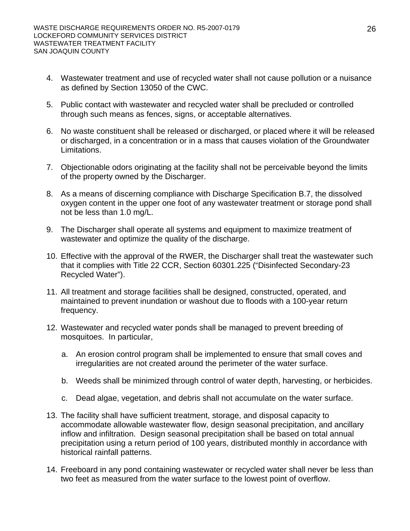- 4. Wastewater treatment and use of recycled water shall not cause pollution or a nuisance as defined by Section 13050 of the CWC.
- 5. Public contact with wastewater and recycled water shall be precluded or controlled through such means as fences, signs, or acceptable alternatives.
- 6. No waste constituent shall be released or discharged, or placed where it will be released or discharged, in a concentration or in a mass that causes violation of the Groundwater Limitations.
- 7. Objectionable odors originating at the facility shall not be perceivable beyond the limits of the property owned by the Discharger.
- 8. As a means of discerning compliance with Discharge Specification B.7, the dissolved oxygen content in the upper one foot of any wastewater treatment or storage pond shall not be less than 1.0 mg/L.
- 9. The Discharger shall operate all systems and equipment to maximize treatment of wastewater and optimize the quality of the discharge.
- 10. Effective with the approval of the RWER, the Discharger shall treat the wastewater such that it complies with Title 22 CCR, Section 60301.225 ("Disinfected Secondary-23 Recycled Water").
- 11. All treatment and storage facilities shall be designed, constructed, operated, and maintained to prevent inundation or washout due to floods with a 100-year return frequency.
- 12. Wastewater and recycled water ponds shall be managed to prevent breeding of mosquitoes. In particular,
	- a. An erosion control program shall be implemented to ensure that small coves and irregularities are not created around the perimeter of the water surface.
	- b. Weeds shall be minimized through control of water depth, harvesting, or herbicides.
	- c. Dead algae, vegetation, and debris shall not accumulate on the water surface.
- 13. The facility shall have sufficient treatment, storage, and disposal capacity to accommodate allowable wastewater flow, design seasonal precipitation, and ancillary inflow and infiltration. Design seasonal precipitation shall be based on total annual precipitation using a return period of 100 years, distributed monthly in accordance with historical rainfall patterns.
- 14. Freeboard in any pond containing wastewater or recycled water shall never be less than two feet as measured from the water surface to the lowest point of overflow.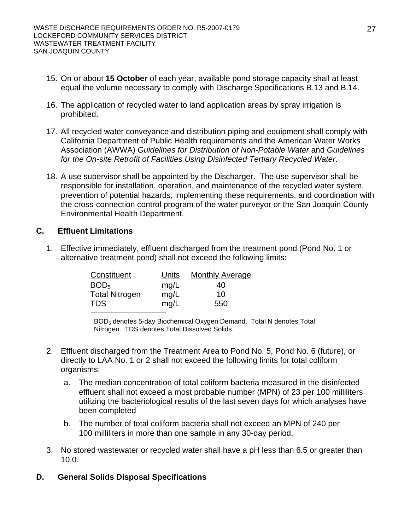- 15. On or about **15 October** of each year, available pond storage capacity shall at least equal the volume necessary to comply with Discharge Specifications B.13 and B.14.
- 16. The application of recycled water to land application areas by spray irrigation is prohibited.
- 17. All recycled water conveyance and distribution piping and equipment shall comply with California Department of Public Health requirements and the American Water Works Association (AWWA) *Guidelines for Distribution of Non-Potable Water* and *Guidelines for the On-site Retrofit of Facilities Using Disinfected Tertiary Recycled Water*.
- 18. A use supervisor shall be appointed by the Discharger. The use supervisor shall be responsible for installation, operation, and maintenance of the recycled water system, prevention of potential hazards, implementing these requirements, and coordination with the cross-connection control program of the water purveyor or the San Joaquin County Environmental Health Department.

#### **C. Effluent Limitations**

1. Effective immediately, effluent discharged from the treatment pond (Pond No. 1 or alternative treatment pond) shall not exceed the following limits:

| Constituent           | Units | <b>Monthly Average</b> |
|-----------------------|-------|------------------------|
| BOD <sub>5</sub>      | mg/L  | 40                     |
| <b>Total Nitrogen</b> | mg/L  | 10                     |
| <b>TDS</b>            | mg/L  | 550                    |

BOD5 denotes 5-day Biochemical Oxygen Demand. Total N denotes Total Nitrogen. TDS denotes Total Dissolved Solids.

- 2. Effluent discharged from the Treatment Area to Pond No. 5, Pond No. 6 (future), or directly to LAA No. 1 or 2 shall not exceed the following limits for total coliform organisms:
	- a. The median concentration of total coliform bacteria measured in the disinfected effluent shall not exceed a most probable number (MPN) of 23 per 100 milliliters utilizing the bacteriological results of the last seven days for which analyses have been completed
	- b. The number of total coliform bacteria shall not exceed an MPN of 240 per 100 milliliters in more than one sample in any 30-day period.
- 3. No stored wastewater or recycled water shall have a pH less than 6.5 or greater than 10.0.
- **D. General Solids Disposal Specifications**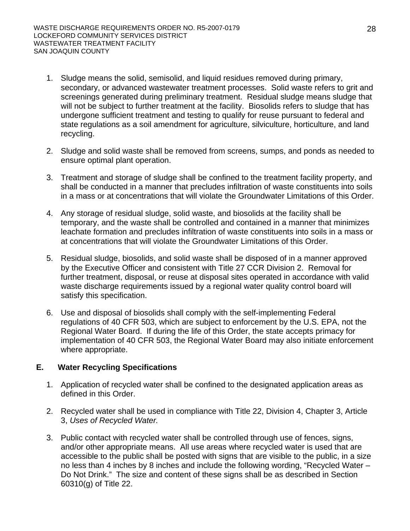- 1. Sludge means the solid, semisolid, and liquid residues removed during primary, secondary, or advanced wastewater treatment processes. Solid waste refers to grit and screenings generated during preliminary treatment. Residual sludge means sludge that will not be subject to further treatment at the facility. Biosolids refers to sludge that has undergone sufficient treatment and testing to qualify for reuse pursuant to federal and state regulations as a soil amendment for agriculture, silviculture, horticulture, and land recycling.
- 2. Sludge and solid waste shall be removed from screens, sumps, and ponds as needed to ensure optimal plant operation.
- 3. Treatment and storage of sludge shall be confined to the treatment facility property, and shall be conducted in a manner that precludes infiltration of waste constituents into soils in a mass or at concentrations that will violate the Groundwater Limitations of this Order.
- 4. Any storage of residual sludge, solid waste, and biosolids at the facility shall be temporary, and the waste shall be controlled and contained in a manner that minimizes leachate formation and precludes infiltration of waste constituents into soils in a mass or at concentrations that will violate the Groundwater Limitations of this Order.
- 5. Residual sludge, biosolids, and solid waste shall be disposed of in a manner approved by the Executive Officer and consistent with Title 27 CCR Division 2. Removal for further treatment, disposal, or reuse at disposal sites operated in accordance with valid waste discharge requirements issued by a regional water quality control board will satisfy this specification.
- 6. Use and disposal of biosolids shall comply with the self-implementing Federal regulations of 40 CFR 503, which are subject to enforcement by the U.S. EPA, not the Regional Water Board. If during the life of this Order, the state accepts primacy for implementation of 40 CFR 503, the Regional Water Board may also initiate enforcement where appropriate.

#### **E. Water Recycling Specifications**

- 1. Application of recycled water shall be confined to the designated application areas as defined in this Order.
- 2. Recycled water shall be used in compliance with Title 22, Division 4, Chapter 3, Article 3, *Uses of Recycled Water.*
- 3. Public contact with recycled water shall be controlled through use of fences, signs, and/or other appropriate means. All use areas where recycled water is used that are accessible to the public shall be posted with signs that are visible to the public, in a size no less than 4 inches by 8 inches and include the following wording, "Recycled Water – Do Not Drink." The size and content of these signs shall be as described in Section 60310(g) of Title 22.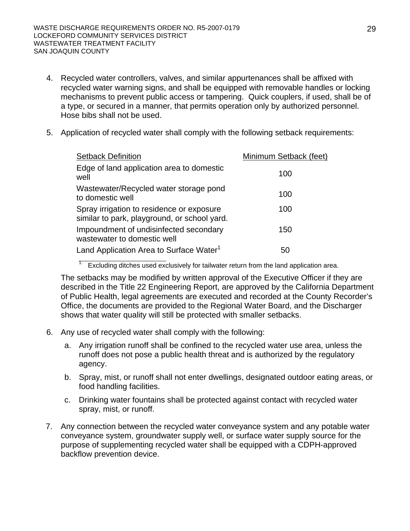- 4. Recycled water controllers, valves, and similar appurtenances shall be affixed with recycled water warning signs, and shall be equipped with removable handles or locking mechanisms to prevent public access or tampering. Quick couplers, if used, shall be of a type, or secured in a manner, that permits operation only by authorized personnel. Hose bibs shall not be used.
- 5. Application of recycled water shall comply with the following setback requirements:

| <b>Setback Definition</b>                                                                 | Minimum Setback (feet) |
|-------------------------------------------------------------------------------------------|------------------------|
| Edge of land application area to domestic<br>well                                         | 100                    |
| Wastewater/Recycled water storage pond<br>to domestic well                                | 100                    |
| Spray irrigation to residence or exposure<br>similar to park, playground, or school yard. | 100                    |
| Impoundment of undisinfected secondary<br>wastewater to domestic well                     | 150                    |
| Land Application Area to Surface Water <sup>1</sup>                                       | 50                     |

Excluding ditches used exclusively for tailwater return from the land application area.

The setbacks may be modified by written approval of the Executive Officer if they are described in the Title 22 Engineering Report, are approved by the California Department of Public Health, legal agreements are executed and recorded at the County Recorder's Office, the documents are provided to the Regional Water Board, and the Discharger shows that water quality will still be protected with smaller setbacks.

- 6. Any use of recycled water shall comply with the following:
	- a. Any irrigation runoff shall be confined to the recycled water use area, unless the runoff does not pose a public health threat and is authorized by the regulatory agency.
	- b. Spray, mist, or runoff shall not enter dwellings, designated outdoor eating areas, or food handling facilities.
	- c. Drinking water fountains shall be protected against contact with recycled water spray, mist, or runoff.
- 7. Any connection between the recycled water conveyance system and any potable water conveyance system, groundwater supply well, or surface water supply source for the purpose of supplementing recycled water shall be equipped with a CDPH-approved backflow prevention device.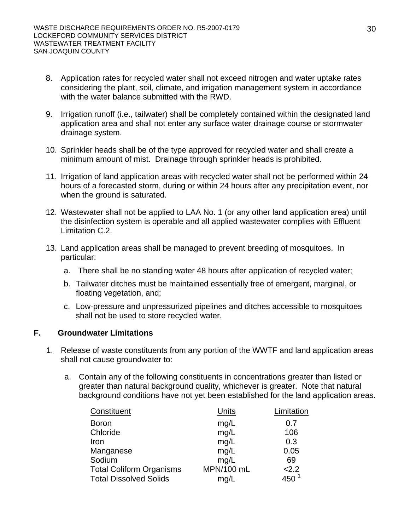- 8. Application rates for recycled water shall not exceed nitrogen and water uptake rates considering the plant, soil, climate, and irrigation management system in accordance with the water balance submitted with the RWD.
- 9. Irrigation runoff (i.e., tailwater) shall be completely contained within the designated land application area and shall not enter any surface water drainage course or stormwater drainage system.
- 10. Sprinkler heads shall be of the type approved for recycled water and shall create a minimum amount of mist. Drainage through sprinkler heads is prohibited.
- 11. Irrigation of land application areas with recycled water shall not be performed within 24 hours of a forecasted storm, during or within 24 hours after any precipitation event, nor when the ground is saturated.
- 12. Wastewater shall not be applied to LAA No. 1 (or any other land application area) until the disinfection system is operable and all applied wastewater complies with Effluent Limitation C.2.
- 13. Land application areas shall be managed to prevent breeding of mosquitoes. In particular:
	- a. There shall be no standing water 48 hours after application of recycled water;
	- b. Tailwater ditches must be maintained essentially free of emergent, marginal, or floating vegetation, and;
	- c. Low-pressure and unpressurized pipelines and ditches accessible to mosquitoes shall not be used to store recycled water.

#### **F. Groundwater Limitations**

- 1. Release of waste constituents from any portion of the WWTF and land application areas shall not cause groundwater to:
	- a. Contain any of the following constituents in concentrations greater than listed or greater than natural background quality, whichever is greater. Note that natural background conditions have not yet been established for the land application areas.

| Constituent                     | Units      | Limitation |
|---------------------------------|------------|------------|
| <b>Boron</b>                    | mg/L       | 0.7        |
| Chloride                        | mg/L       | 106        |
| Iron                            | mg/L       | 0.3        |
| Manganese                       | mg/L       | 0.05       |
| Sodium                          | mg/L       | 69         |
| <b>Total Coliform Organisms</b> | MPN/100 mL | 2.2        |
| <b>Total Dissolved Solids</b>   | mq/L       | 450        |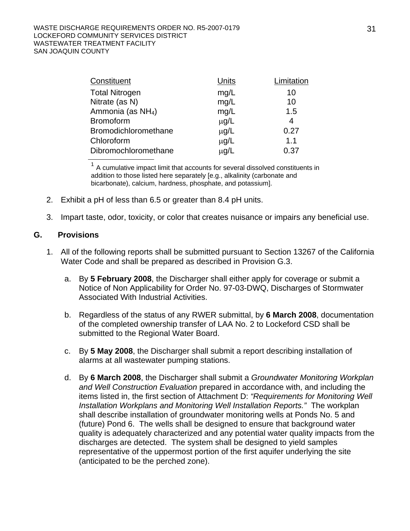#### WASTE DISCHARGE REQUIREMENTS ORDER NO. R5-2007-0179 LOCKEFORD COMMUNITY SERVICES DISTRICT WASTEWATER TREATMENT FACILITY SAN JOAQUIN COUNTY

| Constituent                   | Units     | Limitation |
|-------------------------------|-----------|------------|
| <b>Total Nitrogen</b>         | mg/L      | 10         |
| Nitrate (as N)                | mg/L      | 10         |
| Ammonia (as NH <sub>4</sub> ) | mg/L      | 1.5        |
| <b>Bromoform</b>              | $\mu$ g/L | 4          |
| <b>Bromodichloromethane</b>   | $\mu$ g/L | 0.27       |
| Chloroform                    | $\mu$ g/L | 1.1        |
| Dibromochloromethane          | µg/L      | 0.37       |

 $1$  A cumulative impact limit that accounts for several dissolved constituents in addition to those listed here separately [e.g., alkalinity (carbonate and bicarbonate), calcium, hardness, phosphate, and potassium].

- 2. Exhibit a pH of less than 6.5 or greater than 8.4 pH units.
- 3. Impart taste, odor, toxicity, or color that creates nuisance or impairs any beneficial use.

#### **G. Provisions**

- 1. All of the following reports shall be submitted pursuant to Section 13267 of the California Water Code and shall be prepared as described in Provision G.3.
	- a. By **5 February 2008**, the Discharger shall either apply for coverage or submit a Notice of Non Applicability for Order No. 97-03-DWQ, Discharges of Stormwater Associated With Industrial Activities.
	- b. Regardless of the status of any RWER submittal, by **6 March 2008**, documentation of the completed ownership transfer of LAA No. 2 to Lockeford CSD shall be submitted to the Regional Water Board.
	- c. By **5 May 2008**, the Discharger shall submit a report describing installation of alarms at all wastewater pumping stations.
	- d. By **6 March 2008**, the Discharger shall submit a *Groundwater Monitoring Workplan and Well Construction Evaluation* prepared in accordance with, and including the items listed in, the first section of Attachment D: *"Requirements for Monitoring Well Installation Workplans and Monitoring Well Installation Reports."* The workplan shall describe installation of groundwater monitoring wells at Ponds No. 5 and (future) Pond 6. The wells shall be designed to ensure that background water quality is adequately characterized and any potential water quality impacts from the discharges are detected. The system shall be designed to yield samples representative of the uppermost portion of the first aquifer underlying the site (anticipated to be the perched zone).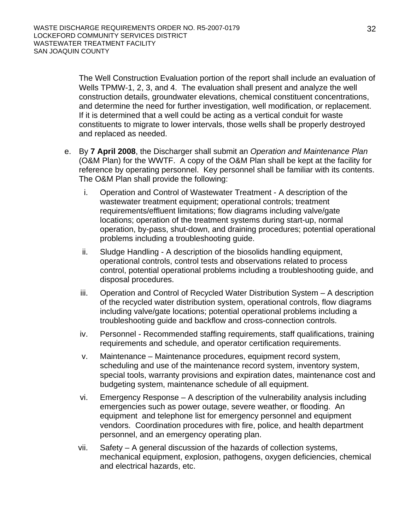The Well Construction Evaluation portion of the report shall include an evaluation of Wells TPMW-1, 2, 3, and 4. The evaluation shall present and analyze the well construction details, groundwater elevations, chemical constituent concentrations, and determine the need for further investigation, well modification, or replacement. If it is determined that a well could be acting as a vertical conduit for waste constituents to migrate to lower intervals, those wells shall be properly destroyed and replaced as needed.

- e. By **7 April 2008**, the Discharger shall submit an *Operation and Maintenance Plan*  (O&M Plan) for the WWTF. A copy of the O&M Plan shall be kept at the facility for reference by operating personnel. Key personnel shall be familiar with its contents. The O&M Plan shall provide the following:
	- i. Operation and Control of Wastewater Treatment A description of the wastewater treatment equipment; operational controls; treatment requirements/effluent limitations; flow diagrams including valve/gate locations; operation of the treatment systems during start-up, normal operation, by-pass, shut-down, and draining procedures; potential operational problems including a troubleshooting guide.
	- ii. Sludge Handling A description of the biosolids handling equipment, operational controls, control tests and observations related to process control, potential operational problems including a troubleshooting guide, and disposal procedures.
	- iii. Operation and Control of Recycled Water Distribution System A description of the recycled water distribution system, operational controls, flow diagrams including valve/gate locations; potential operational problems including a troubleshooting guide and backflow and cross-connection controls.
	- iv. Personnel Recommended staffing requirements, staff qualifications, training requirements and schedule, and operator certification requirements.
	- v. Maintenance Maintenance procedures, equipment record system, scheduling and use of the maintenance record system, inventory system, special tools, warranty provisions and expiration dates, maintenance cost and budgeting system, maintenance schedule of all equipment.
	- vi. Emergency Response A description of the vulnerability analysis including emergencies such as power outage, severe weather, or flooding. An equipment and telephone list for emergency personnel and equipment vendors. Coordination procedures with fire, police, and health department personnel, and an emergency operating plan.
	- vii. Safety A general discussion of the hazards of collection systems, mechanical equipment, explosion, pathogens, oxygen deficiencies, chemical and electrical hazards, etc.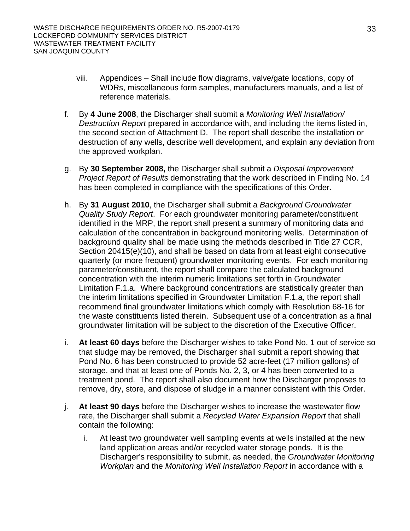- viii. Appendices Shall include flow diagrams, valve/gate locations, copy of WDRs, miscellaneous form samples, manufacturers manuals, and a list of reference materials.
- f. By **4 June 2008**, the Discharger shall submit a *Monitoring Well Installation/ Destruction Report* prepared in accordance with, and including the items listed in, the second section of Attachment D. The report shall describe the installation or destruction of any wells, describe well development, and explain any deviation from the approved workplan.
- g. By **30 September 2008,** the Discharger shall submit a *Disposal Improvement Project Report of Results* demonstrating that the work described in Finding No. 14 has been completed in compliance with the specifications of this Order.
- h. By **31 August 2010**, the Discharger shall submit a *Background Groundwater Quality Study Report*. For each groundwater monitoring parameter/constituent identified in the MRP, the report shall present a summary of monitoring data and calculation of the concentration in background monitoring wells. Determination of background quality shall be made using the methods described in Title 27 CCR, Section 20415(e)(10), and shall be based on data from at least eight consecutive quarterly (or more frequent) groundwater monitoring events. For each monitoring parameter/constituent, the report shall compare the calculated background concentration with the interim numeric limitations set forth in Groundwater Limitation F.1.a. Where background concentrations are statistically greater than the interim limitations specified in Groundwater Limitation F.1.a, the report shall recommend final groundwater limitations which comply with Resolution 68-16 for the waste constituents listed therein. Subsequent use of a concentration as a final groundwater limitation will be subject to the discretion of the Executive Officer.
- i. **At least 60 days** before the Discharger wishes to take Pond No. 1 out of service so that sludge may be removed, the Discharger shall submit a report showing that Pond No. 6 has been constructed to provide 52 acre-feet (17 million gallons) of storage, and that at least one of Ponds No. 2, 3, or 4 has been converted to a treatment pond. The report shall also document how the Discharger proposes to remove, dry, store, and dispose of sludge in a manner consistent with this Order.
- j. **At least 90 days** before the Discharger wishes to increase the wastewater flow rate, the Discharger shall submit a *Recycled Water Expansion Report* that shall contain the following:
	- i. At least two groundwater well sampling events at wells installed at the new land application areas and/or recycled water storage ponds. It is the Discharger's responsibility to submit, as needed, the *Groundwater Monitoring Workplan* and the *Monitoring Well Installation Report* in accordance with a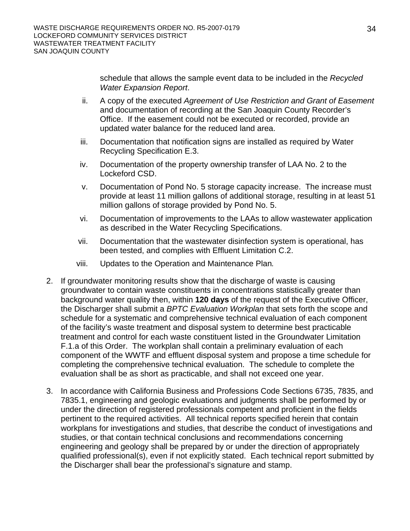schedule that allows the sample event data to be included in the *Recycled Water Expansion Report*.

- ii. A copy of the executed *Agreement of Use Restriction and Grant of Easement* and documentation of recording at the San Joaquin County Recorder's Office. If the easement could not be executed or recorded, provide an updated water balance for the reduced land area.
- iii. Documentation that notification signs are installed as required by Water Recycling Specification E.3.
- iv. Documentation of the property ownership transfer of LAA No. 2 to the Lockeford CSD.
- v. Documentation of Pond No. 5 storage capacity increase. The increase must provide at least 11 million gallons of additional storage, resulting in at least 51 million gallons of storage provided by Pond No. 5.
- vi. Documentation of improvements to the LAAs to allow wastewater application as described in the Water Recycling Specifications.
- vii. Documentation that the wastewater disinfection system is operational, has been tested, and complies with Effluent Limitation C.2.
- viii. Updates to the Operation and Maintenance Plan*.*
- 2. If groundwater monitoring results show that the discharge of waste is causing groundwater to contain waste constituents in concentrations statistically greater than background water quality then, within **120 days** of the request of the Executive Officer, the Discharger shall submit a *BPTC Evaluation Workplan* that sets forth the scope and schedule for a systematic and comprehensive technical evaluation of each component of the facility's waste treatment and disposal system to determine best practicable treatment and control for each waste constituent listed in the Groundwater Limitation F.1.a of this Order. The workplan shall contain a preliminary evaluation of each component of the WWTF and effluent disposal system and propose a time schedule for completing the comprehensive technical evaluation. The schedule to complete the evaluation shall be as short as practicable, and shall not exceed one year.
- 3. In accordance with California Business and Professions Code Sections 6735, 7835, and 7835.1, engineering and geologic evaluations and judgments shall be performed by or under the direction of registered professionals competent and proficient in the fields pertinent to the required activities. All technical reports specified herein that contain workplans for investigations and studies, that describe the conduct of investigations and studies, or that contain technical conclusions and recommendations concerning engineering and geology shall be prepared by or under the direction of appropriately qualified professional(s), even if not explicitly stated. Each technical report submitted by the Discharger shall bear the professional's signature and stamp.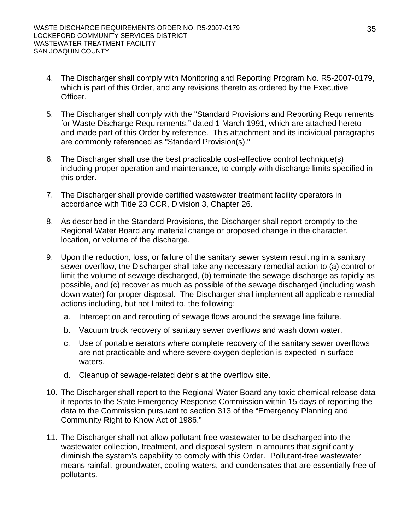- 4. The Discharger shall comply with Monitoring and Reporting Program No. R5-2007-0179, which is part of this Order, and any revisions thereto as ordered by the Executive Officer.
- 5. The Discharger shall comply with the "Standard Provisions and Reporting Requirements for Waste Discharge Requirements," dated 1 March 1991, which are attached hereto and made part of this Order by reference. This attachment and its individual paragraphs are commonly referenced as "Standard Provision(s)."
- 6. The Discharger shall use the best practicable cost-effective control technique(s) including proper operation and maintenance, to comply with discharge limits specified in this order.
- 7. The Discharger shall provide certified wastewater treatment facility operators in accordance with Title 23 CCR, Division 3, Chapter 26.
- 8. As described in the Standard Provisions, the Discharger shall report promptly to the Regional Water Board any material change or proposed change in the character, location, or volume of the discharge.
- 9. Upon the reduction, loss, or failure of the sanitary sewer system resulting in a sanitary sewer overflow, the Discharger shall take any necessary remedial action to (a) control or limit the volume of sewage discharged, (b) terminate the sewage discharge as rapidly as possible, and (c) recover as much as possible of the sewage discharged (including wash down water) for proper disposal. The Discharger shall implement all applicable remedial actions including, but not limited to, the following:
	- a. Interception and rerouting of sewage flows around the sewage line failure.
	- b. Vacuum truck recovery of sanitary sewer overflows and wash down water.
	- c. Use of portable aerators where complete recovery of the sanitary sewer overflows are not practicable and where severe oxygen depletion is expected in surface waters.
	- d. Cleanup of sewage-related debris at the overflow site.
- 10. The Discharger shall report to the Regional Water Board any toxic chemical release data it reports to the State Emergency Response Commission within 15 days of reporting the data to the Commission pursuant to section 313 of the "Emergency Planning and Community Right to Know Act of 1986."
- 11. The Discharger shall not allow pollutant-free wastewater to be discharged into the wastewater collection, treatment, and disposal system in amounts that significantly diminish the system's capability to comply with this Order. Pollutant-free wastewater means rainfall, groundwater, cooling waters, and condensates that are essentially free of pollutants.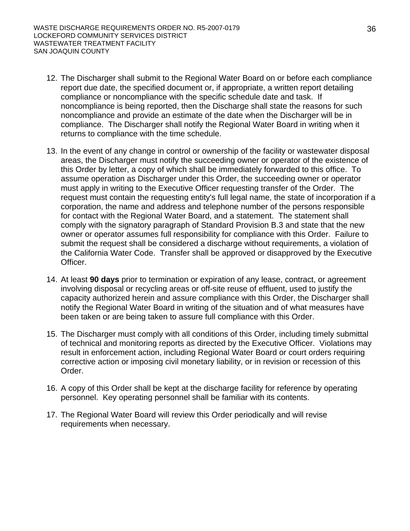- 12. The Discharger shall submit to the Regional Water Board on or before each compliance report due date, the specified document or, if appropriate, a written report detailing compliance or noncompliance with the specific schedule date and task. If noncompliance is being reported, then the Discharge shall state the reasons for such noncompliance and provide an estimate of the date when the Discharger will be in compliance. The Discharger shall notify the Regional Water Board in writing when it returns to compliance with the time schedule.
- 13. In the event of any change in control or ownership of the facility or wastewater disposal areas, the Discharger must notify the succeeding owner or operator of the existence of this Order by letter, a copy of which shall be immediately forwarded to this office. To assume operation as Discharger under this Order, the succeeding owner or operator must apply in writing to the Executive Officer requesting transfer of the Order. The request must contain the requesting entity's full legal name, the state of incorporation if a corporation, the name and address and telephone number of the persons responsible for contact with the Regional Water Board, and a statement. The statement shall comply with the signatory paragraph of Standard Provision B.3 and state that the new owner or operator assumes full responsibility for compliance with this Order. Failure to submit the request shall be considered a discharge without requirements, a violation of the California Water Code. Transfer shall be approved or disapproved by the Executive Officer.
- 14. At least **90 days** prior to termination or expiration of any lease, contract, or agreement involving disposal or recycling areas or off-site reuse of effluent, used to justify the capacity authorized herein and assure compliance with this Order, the Discharger shall notify the Regional Water Board in writing of the situation and of what measures have been taken or are being taken to assure full compliance with this Order.
- 15. The Discharger must comply with all conditions of this Order, including timely submittal of technical and monitoring reports as directed by the Executive Officer. Violations may result in enforcement action, including Regional Water Board or court orders requiring corrective action or imposing civil monetary liability, or in revision or recession of this Order.
- 16. A copy of this Order shall be kept at the discharge facility for reference by operating personnel. Key operating personnel shall be familiar with its contents.
- 17. The Regional Water Board will review this Order periodically and will revise requirements when necessary.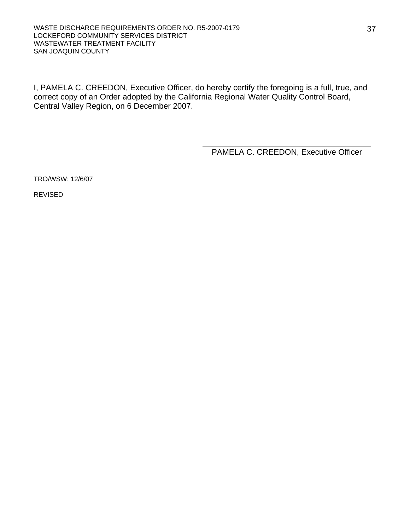I, PAMELA C. CREEDON, Executive Officer, do hereby certify the foregoing is a full, true, and correct copy of an Order adopted by the California Regional Water Quality Control Board, Central Valley Region, on 6 December 2007.

PAMELA C. CREEDON, Executive Officer

TRO/WSW: 12/6/07

REVISED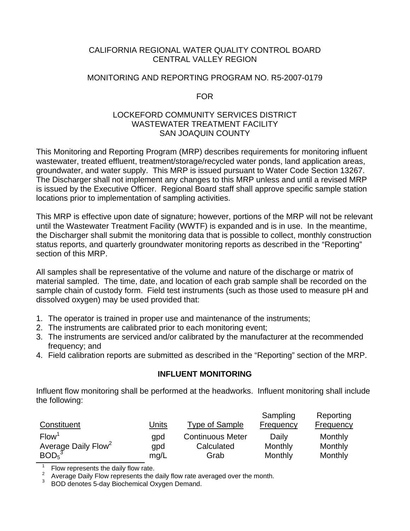#### CALIFORNIA REGIONAL WATER QUALITY CONTROL BOARD CENTRAL VALLEY REGION

#### MONITORING AND REPORTING PROGRAM NO. R5-2007-0179

FOR

#### LOCKEFORD COMMUNITY SERVICES DISTRICT WASTEWATER TREATMENT FACILITY SAN JOAQUIN COUNTY

This Monitoring and Reporting Program (MRP) describes requirements for monitoring influent wastewater, treated effluent, treatment/storage/recycled water ponds, land application areas, groundwater, and water supply. This MRP is issued pursuant to Water Code Section 13267. The Discharger shall not implement any changes to this MRP unless and until a revised MRP is issued by the Executive Officer. Regional Board staff shall approve specific sample station locations prior to implementation of sampling activities.

This MRP is effective upon date of signature; however, portions of the MRP will not be relevant until the Wastewater Treatment Facility (WWTF) is expanded and is in use. In the meantime, the Discharger shall submit the monitoring data that is possible to collect, monthly construction status reports, and quarterly groundwater monitoring reports as described in the "Reporting" section of this MRP.

All samples shall be representative of the volume and nature of the discharge or matrix of material sampled. The time, date, and location of each grab sample shall be recorded on the sample chain of custody form. Field test instruments (such as those used to measure pH and dissolved oxygen) may be used provided that:

- 1. The operator is trained in proper use and maintenance of the instruments;
- 2. The instruments are calibrated prior to each monitoring event;
- 3. The instruments are serviced and/or calibrated by the manufacturer at the recommended frequency; and
- 4. Field calibration reports are submitted as described in the "Reporting" section of the MRP.

#### **INFLUENT MONITORING**

Influent flow monitoring shall be performed at the headworks. Influent monitoring shall include the following:

|                                 |              |                         | Sampling  | Reporting |
|---------------------------------|--------------|-------------------------|-----------|-----------|
| Constituent                     | <u>Units</u> | Type of Sample          | Frequency | Frequency |
| Flow <sup>1</sup>               | gpd          | <b>Continuous Meter</b> | Daily     | Monthly   |
| Average Daily Flow <sup>2</sup> | qpd          | Calculated              | Monthly   | Monthly   |
| $BOD5$ <sup>3</sup>             | mg/L         | Grab                    | Monthly   | Monthly   |

<sup>1</sup> Flow represents the daily flow rate.<br><sup>2</sup> Average Daily Flow represents the daily flow rate averaged over the month.

BOD denotes 5-day Biochemical Oxygen Demand.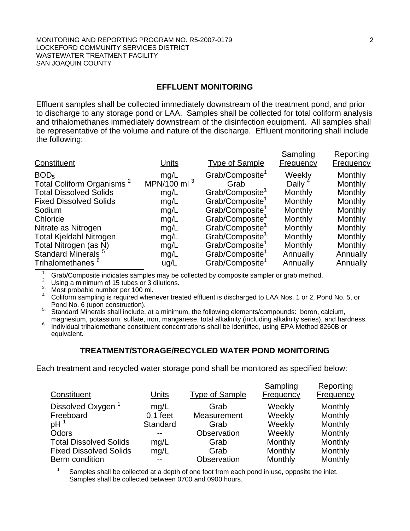#### **EFFLUENT MONITORING**

Effluent samples shall be collected immediately downstream of the treatment pond, and prior to discharge to any storage pond or LAA. Samples shall be collected for total coliform analysis and trihalomethanes immediately downstream of the disinfection equipment. All samples shall be representative of the volume and nature of the discharge. Effluent monitoring shall include the following:

| Constituent                           | Units          | <b>Type of Sample</b>       | Sampling<br><b>Frequency</b> | Reporting<br><b>Frequency</b> |
|---------------------------------------|----------------|-----------------------------|------------------------------|-------------------------------|
| BOD <sub>5</sub>                      | mg/L           | Grab/Composite <sup>1</sup> | Weekly                       | Monthly                       |
| Total Coliform Organisms <sup>2</sup> | MPN/100 ml $3$ | Grab                        | Daily                        | Monthly                       |
| <b>Total Dissolved Solids</b>         | mg/L           | Grab/Composite <sup>1</sup> | Monthly                      | Monthly                       |
| <b>Fixed Dissolved Solids</b>         | mg/L           | Grab/Composite <sup>1</sup> | Monthly                      | Monthly                       |
| Sodium                                | mg/L           | Grab/Composite <sup>1</sup> | Monthly                      | Monthly                       |
| Chloride                              | mg/L           | Grab/Composite <sup>1</sup> | Monthly                      | Monthly                       |
| Nitrate as Nitrogen                   | mg/L           | Grab/Composite <sup>1</sup> | <b>Monthly</b>               | Monthly                       |
| <b>Total Kjeldahl Nitrogen</b>        | mg/L           | Grab/Composite <sup>1</sup> | Monthly                      | Monthly                       |
| Total Nitrogen (as N)                 | mg/L           | Grab/Composite <sup>1</sup> | Monthly                      | Monthly                       |
| Standard Minerals <sup>5</sup>        | mg/L           | Grab/Composite              | Annually                     | Annually                      |
| Trihalomethanes <sup>o</sup>          | ug/L           | Grab/Composite <sup>1</sup> | Annually                     | Annually                      |

<sup>1.</sup> Grab/Composite indicates samples may be collected by composite sampler or grab method.

2. Using a minimum of 15 tubes or 3 dilutions.

3. Most probable number per 100 ml.

4. Coliform sampling is required whenever treated effluent is discharged to LAA Nos. 1 or 2, Pond No. 5, or<br>Pond No. 6 (upon construction).

Pond No. 8 (upon construction).<br>
Standard Minerals shall include, at a minimum, the following elements/compounds: boron, calcium,<br>
magnesium, potassium, sulfate, iron, manganese, total alkalinity (including alkalinity seri

magnesium, potassium, sulfate, iron, manganese, total alkalinity (including alkalinity series), and hardness. Individual trihalomethane constituent concentrations shall be identified, using EPA Method 8260B or equivalent.

#### **TREATMENT/STORAGE/RECYCLED WATER POND MONITORING**

Each treatment and recycled water storage pond shall be monitored as specified below:

| Constituent                   | Units      | <b>Type of Sample</b> | Sampling<br>Frequency | Reporting<br>Frequency |
|-------------------------------|------------|-----------------------|-----------------------|------------------------|
| Dissolved Oxygen              | mq/L       | Grab                  | Weekly                | Monthly                |
| Freeboard                     | $0.1$ feet | Measurement           | Weekly                | Monthly                |
| pH <sup>1</sup>               | Standard   | Grab                  | Weekly                | Monthly                |
| Odors                         |            | Observation           | Weekly                | Monthly                |
| <b>Total Dissolved Solids</b> | mg/L       | Grab                  | Monthly               | Monthly                |
| <b>Fixed Dissolved Solids</b> | mg/L       | Grab                  | Monthly               | Monthly                |
| Berm condition                | $-$        | Observation           | Monthly               | Monthly                |

Samples shall be collected at a depth of one foot from each pond in use, opposite the inlet. Samples shall be collected between 0700 and 0900 hours.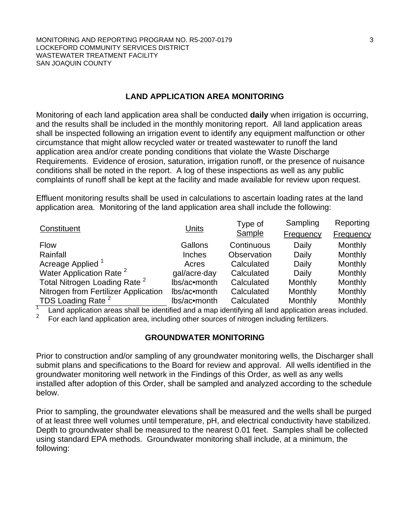#### **LAND APPLICATION AREA MONITORING**

Monitoring of each land application area shall be conducted **daily** when irrigation is occurring, and the results shall be included in the monthly monitoring report. All land application areas shall be inspected following an irrigation event to identify any equipment malfunction or other circumstance that might allow recycled water or treated wastewater to runoff the land application area and/or create ponding conditions that violate the Waste Discharge Requirements. Evidence of erosion, saturation, irrigation runoff, or the presence of nuisance conditions shall be noted in the report. A log of these inspections as well as any public complaints of runoff shall be kept at the facility and made available for review upon request.

Effluent monitoring results shall be used in calculations to ascertain loading rates at the land application area. Monitoring of the land application area shall include the following:

| Constituent                              | Units         | Type of     | Sampling  | Reporting |
|------------------------------------------|---------------|-------------|-----------|-----------|
|                                          |               | Sample      | Frequency | Frequency |
| <b>Flow</b>                              | Gallons       | Continuous  | Daily     | Monthly   |
| Rainfall                                 | <b>Inches</b> | Observation | Daily     | Monthly   |
| Acreage Applied <sup>1</sup>             | Acres         | Calculated  | Daily     | Monthly   |
| Water Application Rate <sup>2</sup>      | gal/acre-day  | Calculated  | Daily     | Monthly   |
| Total Nitrogen Loading Rate <sup>2</sup> | lbs/ac•month  | Calculated  | Monthly   | Monthly   |
| Nitrogen from Fertilizer Application     | lbs/ac•month  | Calculated  | Monthly   | Monthly   |
| TDS Loading Rate <sup>2</sup>            | lbs/ac•month  | Calculated  | Monthly   | Monthly   |

1 Land application areas shall be identified and a map identifying all land application areas included.  $\mathcal{L}$ 

For each land application area, including other sources of nitrogen including fertilizers.

#### **GROUNDWATER MONITORING**

Prior to construction and/or sampling of any groundwater monitoring wells, the Discharger shall submit plans and specifications to the Board for review and approval. All wells identified in the groundwater monitoring well network in the Findings of this Order, as well as any wells installed after adoption of this Order, shall be sampled and analyzed according to the schedule below.

Prior to sampling, the groundwater elevations shall be measured and the wells shall be purged of at least three well volumes until temperature, pH, and electrical conductivity have stabilized. Depth to groundwater shall be measured to the nearest 0.01 feet. Samples shall be collected using standard EPA methods. Groundwater monitoring shall include, at a minimum, the following: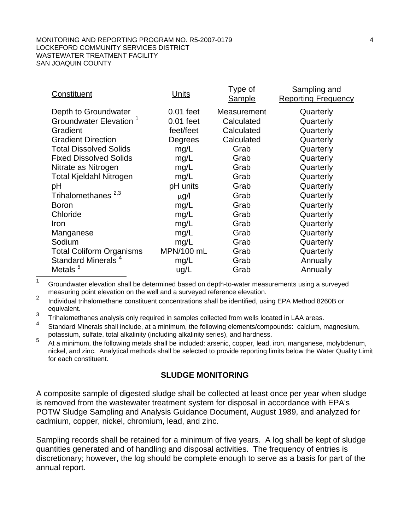| Constituent                        | <b>Units</b> | Type of<br><b>Sample</b> | Sampling and<br><b>Reporting Frequency</b> |
|------------------------------------|--------------|--------------------------|--------------------------------------------|
| Depth to Groundwater               | $0.01$ feet  | Measurement              | Quarterly                                  |
| Groundwater Elevation <sup>1</sup> | $0.01$ feet  | Calculated               | Quarterly                                  |
| Gradient                           | feet/feet    | Calculated               | Quarterly                                  |
| <b>Gradient Direction</b>          | Degrees      | Calculated               | Quarterly                                  |
| <b>Total Dissolved Solids</b>      | mg/L         | Grab                     | Quarterly                                  |
| <b>Fixed Dissolved Solids</b>      | mg/L         | Grab                     | Quarterly                                  |
| Nitrate as Nitrogen                | mg/L         | Grab                     | Quarterly                                  |
| <b>Total Kjeldahl Nitrogen</b>     | mg/L         | Grab                     | Quarterly                                  |
| рH                                 | pH units     | Grab                     | Quarterly                                  |
| Trihalomethanes <sup>2,3</sup>     | $\mu$ g/l    | Grab                     | Quarterly                                  |
| <b>Boron</b>                       | mg/L         | Grab                     | Quarterly                                  |
| Chloride                           | mg/L         | Grab                     | Quarterly                                  |
| Iron                               | mg/L         | Grab                     | Quarterly                                  |
| Manganese                          | mg/L         | Grab                     | Quarterly                                  |
| Sodium                             | mg/L         | Grab                     | Quarterly                                  |
| <b>Total Coliform Organisms</b>    | MPN/100 mL   | Grab                     | Quarterly                                  |
| Standard Minerals <sup>4</sup>     | mg/L         | Grab                     | Annually                                   |
| Metals <sup>5</sup>                | ug/L         | Grab                     | Annually                                   |

 $1$  Groundwater elevation shall be determined based on depth-to-water measurements using a surveyed measuring point elevation on the well and a surveyed reference elevation.

<sup>2</sup> Individual trihalomethane constituent concentrations shall be identified, using EPA Method 8260B or equivalent.

 $3$  Trihalomethanes analysis only required in samples collected from wells located in LAA areas.

<sup>4</sup> Standard Minerals shall include, at a minimum, the following elements/compounds: calcium, magnesium, potassium, sulfate, total alkalinity (including alkalinity series), and hardness.

<sup>5</sup> At a minimum, the following metals shall be included: arsenic, copper, lead, iron, manganese, molybdenum, nickel, and zinc. Analytical methods shall be selected to provide reporting limits below the Water Quality Limit for each constituent.

#### **SLUDGE MONITORING**

A composite sample of digested sludge shall be collected at least once per year when sludge is removed from the wastewater treatment system for disposal in accordance with EPA's POTW Sludge Sampling and Analysis Guidance Document, August 1989, and analyzed for cadmium, copper, nickel, chromium, lead, and zinc.

Sampling records shall be retained for a minimum of five years. A log shall be kept of sludge quantities generated and of handling and disposal activities. The frequency of entries is discretionary; however, the log should be complete enough to serve as a basis for part of the annual report.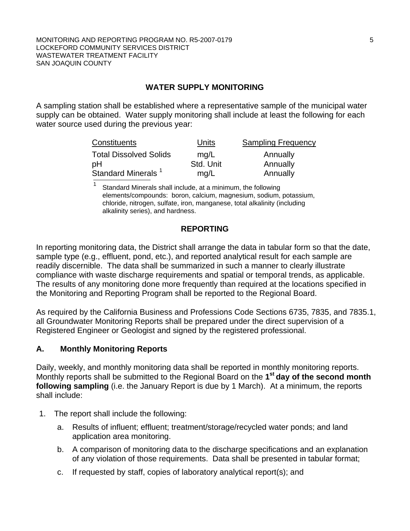#### **WATER SUPPLY MONITORING**

A sampling station shall be established where a representative sample of the municipal water supply can be obtained. Water supply monitoring shall include at least the following for each water source used during the previous year:

| Constituents                   | Units     | <b>Sampling Frequency</b> |
|--------------------------------|-----------|---------------------------|
| <b>Total Dissolved Solids</b>  | mq/L      | Annually                  |
| pH                             | Std. Unit | Annually                  |
| Standard Minerals <sup>1</sup> | mg/L      | Annually                  |

Standard Minerals shall include, at a minimum, the following elements/compounds: boron, calcium, magnesium, sodium, potassium, chloride, nitrogen, sulfate, iron, manganese, total alkalinity (including alkalinity series), and hardness.

#### **REPORTING**

In reporting monitoring data, the District shall arrange the data in tabular form so that the date, sample type (e.g., effluent, pond, etc.), and reported analytical result for each sample are readily discernible. The data shall be summarized in such a manner to clearly illustrate compliance with waste discharge requirements and spatial or temporal trends, as applicable. The results of any monitoring done more frequently than required at the locations specified in the Monitoring and Reporting Program shall be reported to the Regional Board.

As required by the California Business and Professions Code Sections 6735, 7835, and 7835.1, all Groundwater Monitoring Reports shall be prepared under the direct supervision of a Registered Engineer or Geologist and signed by the registered professional.

#### **A. Monthly Monitoring Reports**

Daily, weekly, and monthly monitoring data shall be reported in monthly monitoring reports. Monthly reports shall be submitted to the Regional Board on the **1st day of the second month following sampling** (i.e. the January Report is due by 1 March). At a minimum, the reports shall include:

- 1. The report shall include the following:
	- a. Results of influent; effluent; treatment/storage/recycled water ponds; and land application area monitoring.
	- b. A comparison of monitoring data to the discharge specifications and an explanation of any violation of those requirements. Data shall be presented in tabular format;
	- c. If requested by staff, copies of laboratory analytical report(s); and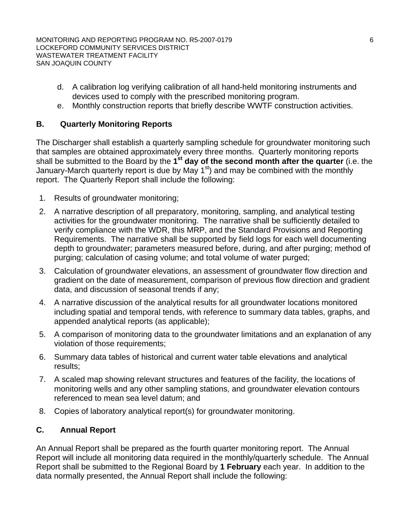- d. A calibration log verifying calibration of all hand-held monitoring instruments and devices used to comply with the prescribed monitoring program.
- e. Monthly construction reports that briefly describe WWTF construction activities.

#### **B. Quarterly Monitoring Reports**

The Discharger shall establish a quarterly sampling schedule for groundwater monitoring such that samples are obtained approximately every three months. Quarterly monitoring reports shall be submitted to the Board by the **1st day of the second month after the quarter** (i.e. the January-March quarterly report is due by May  $1<sup>st</sup>$  and may be combined with the monthly report. The Quarterly Report shall include the following:

- 1. Results of groundwater monitoring;
- 2. A narrative description of all preparatory, monitoring, sampling, and analytical testing activities for the groundwater monitoring. The narrative shall be sufficiently detailed to verify compliance with the WDR, this MRP, and the Standard Provisions and Reporting Requirements. The narrative shall be supported by field logs for each well documenting depth to groundwater; parameters measured before, during, and after purging; method of purging; calculation of casing volume; and total volume of water purged;
- 3. Calculation of groundwater elevations, an assessment of groundwater flow direction and gradient on the date of measurement, comparison of previous flow direction and gradient data, and discussion of seasonal trends if any;
- 4. A narrative discussion of the analytical results for all groundwater locations monitored including spatial and temporal tends, with reference to summary data tables, graphs, and appended analytical reports (as applicable);
- 5. A comparison of monitoring data to the groundwater limitations and an explanation of any violation of those requirements;
- 6. Summary data tables of historical and current water table elevations and analytical results;
- 7. A scaled map showing relevant structures and features of the facility, the locations of monitoring wells and any other sampling stations, and groundwater elevation contours referenced to mean sea level datum; and
- 8. Copies of laboratory analytical report(s) for groundwater monitoring.

## **C. Annual Report**

An Annual Report shall be prepared as the fourth quarter monitoring report. The Annual Report will include all monitoring data required in the monthly/quarterly schedule. The Annual Report shall be submitted to the Regional Board by **1 February** each year. In addition to the data normally presented, the Annual Report shall include the following: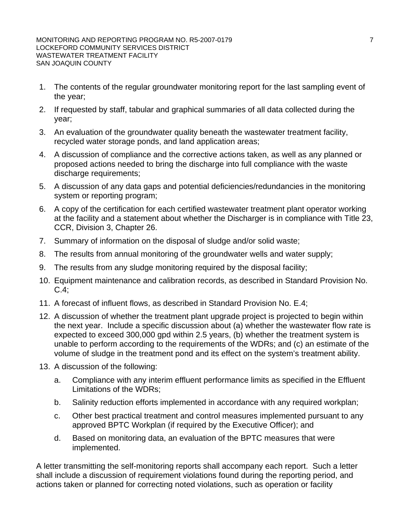- 1. The contents of the regular groundwater monitoring report for the last sampling event of the year;
- 2. If requested by staff, tabular and graphical summaries of all data collected during the year;
- 3. An evaluation of the groundwater quality beneath the wastewater treatment facility, recycled water storage ponds, and land application areas;
- 4. A discussion of compliance and the corrective actions taken, as well as any planned or proposed actions needed to bring the discharge into full compliance with the waste discharge requirements;
- 5. A discussion of any data gaps and potential deficiencies/redundancies in the monitoring system or reporting program;
- 6. A copy of the certification for each certified wastewater treatment plant operator working at the facility and a statement about whether the Discharger is in compliance with Title 23, CCR, Division 3, Chapter 26.
- 7. Summary of information on the disposal of sludge and/or solid waste;
- 8. The results from annual monitoring of the groundwater wells and water supply;
- 9. The results from any sludge monitoring required by the disposal facility;
- 10. Equipment maintenance and calibration records, as described in Standard Provision No.  $C.4$ :
- 11. A forecast of influent flows, as described in Standard Provision No. E.4;
- 12. A discussion of whether the treatment plant upgrade project is projected to begin within the next year. Include a specific discussion about (a) whether the wastewater flow rate is expected to exceed 300,000 gpd within 2.5 years, (b) whether the treatment system is unable to perform according to the requirements of the WDRs; and (c) an estimate of the volume of sludge in the treatment pond and its effect on the system's treatment ability.
- 13. A discussion of the following:
	- a. Compliance with any interim effluent performance limits as specified in the Effluent Limitations of the WDRs;
	- b. Salinity reduction efforts implemented in accordance with any required workplan;
	- c. Other best practical treatment and control measures implemented pursuant to any approved BPTC Workplan (if required by the Executive Officer); and
	- d. Based on monitoring data, an evaluation of the BPTC measures that were implemented.

A letter transmitting the self-monitoring reports shall accompany each report. Such a letter shall include a discussion of requirement violations found during the reporting period, and actions taken or planned for correcting noted violations, such as operation or facility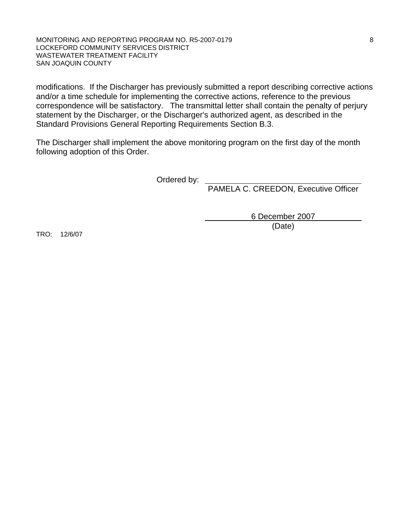#### MONITORING AND REPORTING PROGRAM NO. R5-2007-0179 8 LOCKEFORD COMMUNITY SERVICES DISTRICT WASTEWATER TREATMENT FACILITY SAN JOAQUIN COUNTY

modifications. If the Discharger has previously submitted a report describing corrective actions and/or a time schedule for implementing the corrective actions, reference to the previous correspondence will be satisfactory. The transmittal letter shall contain the penalty of perjury statement by the Discharger, or the Discharger's authorized agent, as described in the Standard Provisions General Reporting Requirements Section B.3.

The Discharger shall implement the above monitoring program on the first day of the month following adoption of this Order.

Ordered by:

PAMELA C. CREEDON, Executive Officer

 6 December 2007 (Date)

TRO: 12/6/07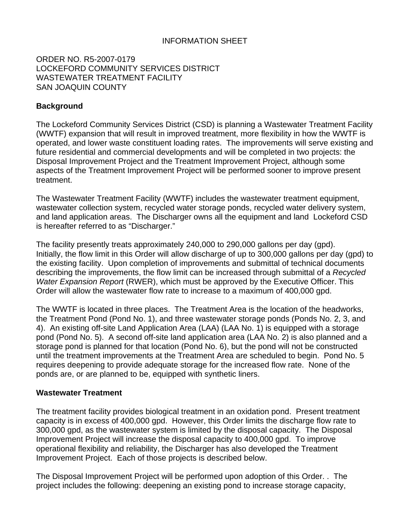#### INFORMATION SHEET

ORDER NO. R5-2007-0179 LOCKEFORD COMMUNITY SERVICES DISTRICT WASTEWATER TREATMENT FACILITY SAN JOAQUIN COUNTY

#### **Background**

The Lockeford Community Services District (CSD) is planning a Wastewater Treatment Facility (WWTF) expansion that will result in improved treatment, more flexibility in how the WWTF is operated, and lower waste constituent loading rates. The improvements will serve existing and future residential and commercial developments and will be completed in two projects: the Disposal Improvement Project and the Treatment Improvement Project, although some aspects of the Treatment Improvement Project will be performed sooner to improve present treatment.

The Wastewater Treatment Facility (WWTF) includes the wastewater treatment equipment, wastewater collection system, recycled water storage ponds, recycled water delivery system, and land application areas. The Discharger owns all the equipment and land Lockeford CSD is hereafter referred to as "Discharger."

The facility presently treats approximately 240,000 to 290,000 gallons per day (gpd). Initially, the flow limit in this Order will allow discharge of up to 300,000 gallons per day (gpd) to the existing facility. Upon completion of improvements and submittal of technical documents describing the improvements, the flow limit can be increased through submittal of a *Recycled Water Expansion Report* (RWER), which must be approved by the Executive Officer. This Order will allow the wastewater flow rate to increase to a maximum of 400,000 gpd.

The WWTF is located in three places. The Treatment Area is the location of the headworks, the Treatment Pond (Pond No. 1), and three wastewater storage ponds (Ponds No. 2, 3, and 4). An existing off-site Land Application Area (LAA) (LAA No. 1) is equipped with a storage pond (Pond No. 5). A second off-site land application area (LAA No. 2) is also planned and a storage pond is planned for that location (Pond No. 6), but the pond will not be constructed until the treatment improvements at the Treatment Area are scheduled to begin. Pond No. 5 requires deepening to provide adequate storage for the increased flow rate. None of the ponds are, or are planned to be, equipped with synthetic liners.

#### **Wastewater Treatment**

The treatment facility provides biological treatment in an oxidation pond. Present treatment capacity is in excess of 400,000 gpd. However, this Order limits the discharge flow rate to 300,000 gpd, as the wastewater system is limited by the disposal capacity. The Disposal Improvement Project will increase the disposal capacity to 400,000 gpd. To improve operational flexibility and reliability, the Discharger has also developed the Treatment Improvement Project. Each of those projects is described below.

The Disposal Improvement Project will be performed upon adoption of this Order. . The project includes the following: deepening an existing pond to increase storage capacity,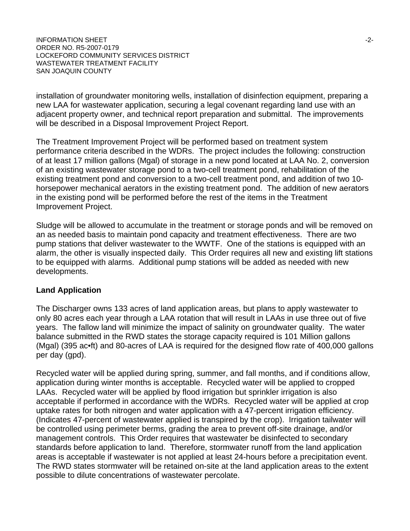INFORMATION SHEET  $\sim$ ORDER NO. R5-2007-0179 LOCKEFORD COMMUNITY SERVICES DISTRICT WASTEWATER TREATMENT FACILITY SAN JOAQUIN COUNTY

installation of groundwater monitoring wells, installation of disinfection equipment, preparing a new LAA for wastewater application, securing a legal covenant regarding land use with an adjacent property owner, and technical report preparation and submittal. The improvements will be described in a Disposal Improvement Project Report.

The Treatment Improvement Project will be performed based on treatment system performance criteria described in the WDRs. The project includes the following: construction of at least 17 million gallons (Mgal) of storage in a new pond located at LAA No. 2, conversion of an existing wastewater storage pond to a two-cell treatment pond, rehabilitation of the existing treatment pond and conversion to a two-cell treatment pond, and addition of two 10 horsepower mechanical aerators in the existing treatment pond. The addition of new aerators in the existing pond will be performed before the rest of the items in the Treatment Improvement Project.

Sludge will be allowed to accumulate in the treatment or storage ponds and will be removed on an as needed basis to maintain pond capacity and treatment effectiveness. There are two pump stations that deliver wastewater to the WWTF. One of the stations is equipped with an alarm, the other is visually inspected daily. This Order requires all new and existing lift stations to be equipped with alarms. Additional pump stations will be added as needed with new developments.

#### **Land Application**

The Discharger owns 133 acres of land application areas, but plans to apply wastewater to only 80 acres each year through a LAA rotation that will result in LAAs in use three out of five years. The fallow land will minimize the impact of salinity on groundwater quality. The water balance submitted in the RWD states the storage capacity required is 101 Million gallons (Mgal) (395 ac•ft) and 80-acres of LAA is required for the designed flow rate of 400,000 gallons per day (gpd).

Recycled water will be applied during spring, summer, and fall months, and if conditions allow, application during winter months is acceptable. Recycled water will be applied to cropped LAAs. Recycled water will be applied by flood irrigation but sprinkler irrigation is also acceptable if performed in accordance with the WDRs. Recycled water will be applied at crop uptake rates for both nitrogen and water application with a 47-percent irrigation efficiency. (Indicates 47-percent of wastewater applied is transpired by the crop). Irrigation tailwater will be controlled using perimeter berms, grading the area to prevent off-site drainage, and/or management controls. This Order requires that wastewater be disinfected to secondary standards before application to land. Therefore, stormwater runoff from the land application areas is acceptable if wastewater is not applied at least 24-hours before a precipitation event. The RWD states stormwater will be retained on-site at the land application areas to the extent possible to dilute concentrations of wastewater percolate.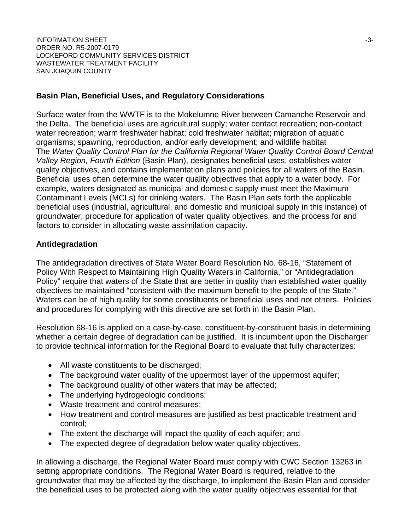INFORMATION SHEET -3- ORDER NO. R5-2007-0179 LOCKEFORD COMMUNITY SERVICES DISTRICT WASTEWATER TREATMENT FACILITY SAN JOAQUIN COUNTY

#### **Basin Plan, Beneficial Uses, and Regulatory Considerations**

Surface water from the WWTF is to the Mokelumne River between Camanche Reservoir and the Delta. The beneficial uses are agricultural supply; water contact recreation; non-contact water recreation; warm freshwater habitat; cold freshwater habitat; migration of aquatic organisms; spawning, reproduction, and/or early development; and wildlife habitat The *Water Quality Control Plan for the California Regional Water Quality Control Board Central Valley Region, Fourth Edition* (Basin Plan), designates beneficial uses, establishes water quality objectives, and contains implementation plans and policies for all waters of the Basin. Beneficial uses often determine the water quality objectives that apply to a water body. For example, waters designated as municipal and domestic supply must meet the Maximum Contaminant Levels (MCLs) for drinking waters. The Basin Plan sets forth the applicable beneficial uses (industrial, agricultural, and domestic and municipal supply in this instance) of groundwater, procedure for application of water quality objectives, and the process for and factors to consider in allocating waste assimilation capacity.

#### **Antidegradation**

The antidegradation directives of State Water Board Resolution No. 68-16, "Statement of Policy With Respect to Maintaining High Quality Waters in California," or "Antidegradation Policy" require that waters of the State that are better in quality than established water quality objectives be maintained "consistent with the maximum benefit to the people of the State." Waters can be of high quality for some constituents or beneficial uses and not others. Policies and procedures for complying with this directive are set forth in the Basin Plan.

Resolution 68-16 is applied on a case-by-case, constituent-by-constituent basis in determining whether a certain degree of degradation can be justified. It is incumbent upon the Discharger to provide technical information for the Regional Board to evaluate that fully characterizes:

- All waste constituents to be discharged;
- The background water quality of the uppermost layer of the uppermost aquifer;
- The background quality of other waters that may be affected;
- The underlying hydrogeologic conditions;
- Waste treatment and control measures;
- How treatment and control measures are justified as best practicable treatment and control;
- The extent the discharge will impact the quality of each aquifer; and
- The expected degree of degradation below water quality objectives.

In allowing a discharge, the Regional Water Board must comply with CWC Section 13263 in setting appropriate conditions. The Regional Water Board is required, relative to the groundwater that may be affected by the discharge, to implement the Basin Plan and consider the beneficial uses to be protected along with the water quality objectives essential for that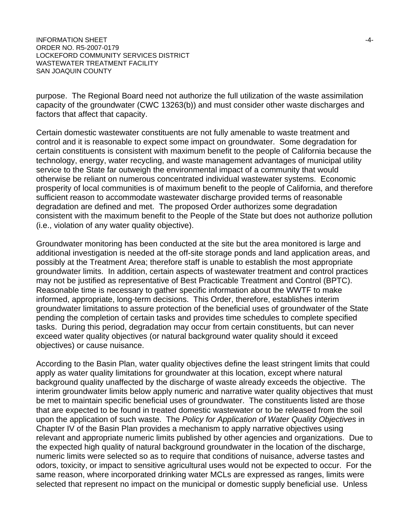purpose. The Regional Board need not authorize the full utilization of the waste assimilation capacity of the groundwater (CWC 13263(b)) and must consider other waste discharges and factors that affect that capacity.

Certain domestic wastewater constituents are not fully amenable to waste treatment and control and it is reasonable to expect some impact on groundwater. Some degradation for certain constituents is consistent with maximum benefit to the people of California because the technology, energy, water recycling, and waste management advantages of municipal utility service to the State far outweigh the environmental impact of a community that would otherwise be reliant on numerous concentrated individual wastewater systems. Economic prosperity of local communities is of maximum benefit to the people of California, and therefore sufficient reason to accommodate wastewater discharge provided terms of reasonable degradation are defined and met. The proposed Order authorizes some degradation consistent with the maximum benefit to the People of the State but does not authorize pollution (i.e., violation of any water quality objective).

Groundwater monitoring has been conducted at the site but the area monitored is large and additional investigation is needed at the off-site storage ponds and land application areas, and possibly at the Treatment Area; therefore staff is unable to establish the most appropriate groundwater limits. In addition, certain aspects of wastewater treatment and control practices may not be justified as representative of Best Practicable Treatment and Control (BPTC). Reasonable time is necessary to gather specific information about the WWTF to make informed, appropriate, long-term decisions. This Order, therefore, establishes interim groundwater limitations to assure protection of the beneficial uses of groundwater of the State pending the completion of certain tasks and provides time schedules to complete specified tasks. During this period, degradation may occur from certain constituents, but can never exceed water quality objectives (or natural background water quality should it exceed objectives) or cause nuisance.

According to the Basin Plan, water quality objectives define the least stringent limits that could apply as water quality limitations for groundwater at this location, except where natural background quality unaffected by the discharge of waste already exceeds the objective. The interim groundwater limits below apply numeric and narrative water quality objectives that must be met to maintain specific beneficial uses of groundwater. The constituents listed are those that are expected to be found in treated domestic wastewater or to be released from the soil upon the application of such waste. The *Policy for Application of Water Quality Objectives* in Chapter IV of the Basin Plan provides a mechanism to apply narrative objectives using relevant and appropriate numeric limits published by other agencies and organizations. Due to the expected high quality of natural background groundwater in the location of the discharge, numeric limits were selected so as to require that conditions of nuisance, adverse tastes and odors, toxicity, or impact to sensitive agricultural uses would not be expected to occur. For the same reason, where incorporated drinking water MCLs are expressed as ranges, limits were selected that represent no impact on the municipal or domestic supply beneficial use. Unless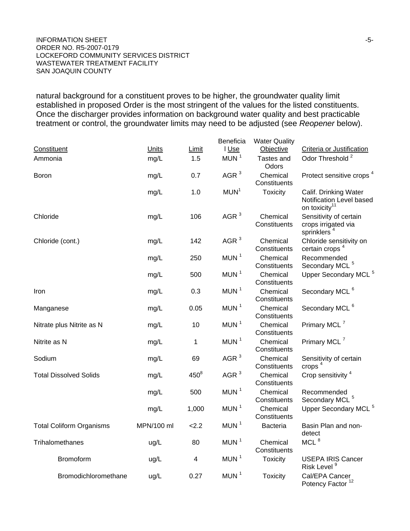**INFORMATION SHEET**  $-5$ -ORDER NO. R5-2007-0179 LOCKEFORD COMMUNITY SERVICES DISTRICT WASTEWATER TREATMENT FACILITY SAN JOAQUIN COUNTY

natural background for a constituent proves to be higher, the groundwater quality limit established in proposed Order is the most stringent of the values for the listed constituents. Once the discharger provides information on background water quality and best practicable treatment or control, the groundwater limits may need to be adjusted (see *Reopener* below).

|                                 |              |         | Beneficia        | <b>Water Quality</b>     |                                                                                |
|---------------------------------|--------------|---------|------------------|--------------------------|--------------------------------------------------------------------------------|
| Constituent                     | <b>Units</b> | Limit   | I Use            | Objective                | Criteria or Justification                                                      |
| Ammonia                         | mg/L         | 1.5     | MUN $1$          | Tastes and<br>Odors      | Odor Threshold <sup>2</sup>                                                    |
| <b>Boron</b>                    | mg/L         | 0.7     | AGR $3$          | Chemical<br>Constituents | Protect sensitive crops <sup>4</sup>                                           |
|                                 | mg/L         | 1.0     | MUN <sup>1</sup> | <b>Toxicity</b>          | Calif. Drinking Water<br>Notification Level based<br>on toxicity <sup>11</sup> |
| Chloride                        | mg/L         | 106     | AGR $3$          | Chemical<br>Constituents | Sensitivity of certain<br>crops irrigated via<br>sprinklers <sup>4</sup>       |
| Chloride (cont.)                | mg/L         | 142     | AGR $3$          | Chemical<br>Constituents | Chloride sensitivity on<br>certain crops <sup>4</sup>                          |
|                                 | mg/L         | 250     | MUN <sup>1</sup> | Chemical<br>Constituents | Recommended<br>Secondary MCL <sup>5</sup>                                      |
|                                 | mg/L         | 500     | MUN <sup>1</sup> | Chemical<br>Constituents | Upper Secondary MCL <sup>5</sup>                                               |
| Iron                            | mg/L         | 0.3     | MUN <sup>1</sup> | Chemical<br>Constituents | Secondary MCL <sup>6</sup>                                                     |
| Manganese                       | mg/L         | 0.05    | MUN <sup>1</sup> | Chemical<br>Constituents | Secondary MCL <sup>6</sup>                                                     |
| Nitrate plus Nitrite as N       | mg/L         | 10      | MUN <sup>1</sup> | Chemical<br>Constituents | Primary MCL <sup>7</sup>                                                       |
| Nitrite as N                    | mg/L         | 1       | MUN $1$          | Chemical<br>Constituents | Primary MCL <sup>7</sup>                                                       |
| Sodium                          | mg/L         | 69      | AGR $3$          | Chemical<br>Constituents | Sensitivity of certain<br>crops $4$                                            |
| <b>Total Dissolved Solids</b>   | mg/L         | $450^8$ | AGR $3$          | Chemical<br>Constituents | Crop sensitivity <sup>4</sup>                                                  |
|                                 | mg/L         | 500     | MUN <sup>1</sup> | Chemical<br>Constituents | Recommended<br>Secondary MCL <sup>5</sup>                                      |
|                                 | mg/L         | 1,000   | MUN <sup>1</sup> | Chemical<br>Constituents | Upper Secondary MCL <sup>5</sup>                                               |
| <b>Total Coliform Organisms</b> | MPN/100 ml   | 2.2     | MUN $1$          | <b>Bacteria</b>          | Basin Plan and non-<br>detect                                                  |
| Trihalomethanes                 | ug/L         | 80      | MUN <sup>1</sup> | Chemical<br>Constituents | MCL $8$                                                                        |
| <b>Bromoform</b>                | ug/L         | 4       | MUN <sup>1</sup> | <b>Toxicity</b>          | <b>USEPA IRIS Cancer</b><br>Risk Level <sup>9</sup>                            |
| Bromodichloromethane            | ug/L         | 0.27    | MUN <sup>1</sup> | <b>Toxicity</b>          | Cal/EPA Cancer<br>Potency Factor <sup>12</sup>                                 |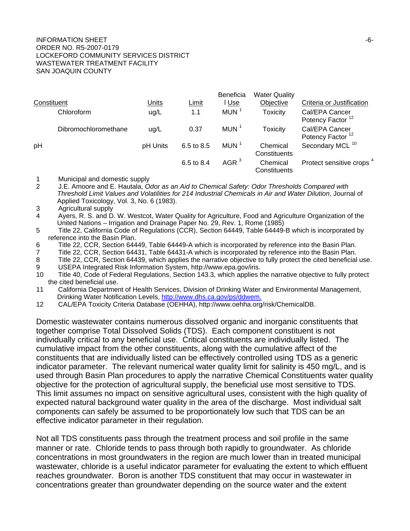#### INFORMATION SHEET  $\overline{6}$ -6-ORDER NO. R5-2007-0179 LOCKEFORD COMMUNITY SERVICES DISTRICT WASTEWATER TREATMENT FACILITY SAN JOAQUIN COUNTY

| Constituent |                      | <b>Units</b> | Limit      | <b>Beneficia</b><br><u>l Use</u> | <b>Water Quality</b><br>Objective | Criteria or Justification                      |
|-------------|----------------------|--------------|------------|----------------------------------|-----------------------------------|------------------------------------------------|
|             | Chloroform           | ug/L         | 1.1        | MUN <sup>1</sup>                 | <b>Toxicity</b>                   | Cal/EPA Cancer<br>Potency Factor <sup>12</sup> |
|             | Dibromochloromethane | uq/L         | 0.37       | MUN <sup>1</sup>                 | <b>Toxicity</b>                   | Cal/EPA Cancer<br>Potency Factor <sup>12</sup> |
| pH          |                      | pH Units     | 6.5 to 8.5 | MUN <sup>1</sup>                 | Chemical<br>Constituents          | Secondary MCL <sup>10</sup>                    |
|             |                      |              | 6.5 to 8.4 | AGR $3$                          | Chemical<br>Constituents          | Protect sensitive crops <sup>4</sup>           |

- 1 Municipal and domestic supply
- 2 J.E. Amoore and E. Hautala, *Odor as an Aid to Chemical Safety: Odor Thresholds Compared with Threshold Limit Values and Volatilities for 214 Industrial Chemicals in Air and Water Dilution*, Journal of Applied Toxicology, Vol. 3, No. 6 (1983).
- 3 Agricultural supply
- 4 Ayers, R. S. and D. W. Westcot, Water Quality for Agriculture, Food and Agriculture Organization of the United Nations – Irrigation and Drainage Paper No. 29, Rev. 1, Rome (1985)
- 5 Title 22, California Code of Regulations (CCR), Section 64449, Table 64449-B which is incorporated by reference into the Basin Plan.
- 6 Title 22, CCR, Section 64449, Table 64449-A which is incorporated by reference into the Basin Plan.
- 7 Title 22, CCR, Section 64431, Table 64431-A which is incorporated by reference into the Basin Plan.
- 8 Title 22, CCR, Section 64439, which applies the narrative objective to fully protect the cited beneficial use. 9 USEPA Integrated Risk Information System, http://www.epa.gov/iris.
- 10 Title 40, Code of Federal Regulations, Section 143.3, which applies the narrative objective to fully protect the cited beneficial use.
- 11 California Department of Health Services, Division of Drinking Water and Environmental Management, Drinking Water Notification Levels, http://www.dhs.ca.gov/ps/ddwem.
- 12 CAL/EPA Toxicity Criteria Database (OEHHA), http://www.oehha.org/risk/ChemicalDB.

Domestic wastewater contains numerous dissolved organic and inorganic constituents that together comprise Total Dissolved Solids (TDS). Each component constituent is not individually critical to any beneficial use. Critical constituents are individually listed. The cumulative impact from the other constituents, along with the cumulative affect of the constituents that are individually listed can be effectively controlled using TDS as a generic indicator parameter. The relevant numerical water quality limit for salinity is 450 mg/L, and is used through Basin Plan procedures to apply the narrative Chemical Constituents water quality objective for the protection of agricultural supply, the beneficial use most sensitive to TDS. This limit assumes no impact on sensitive agricultural uses, consistent with the high quality of expected natural background water quality in the area of the discharge. Most individual salt components can safely be assumed to be proportionately low such that TDS can be an effective indicator parameter in their regulation.

Not all TDS constituents pass through the treatment process and soil profile in the same manner or rate. Chloride tends to pass through both rapidly to groundwater. As chloride concentrations in most groundwaters in the region are much lower than in treated municipal wastewater, chloride is a useful indicator parameter for evaluating the extent to which effluent reaches groundwater. Boron is another TDS constituent that may occur in wastewater in concentrations greater than groundwater depending on the source water and the extent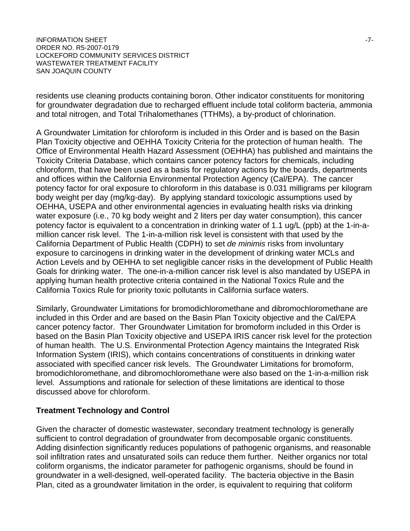INFORMATION SHEET  $\sim$ ORDER NO. R5-2007-0179 LOCKEFORD COMMUNITY SERVICES DISTRICT WASTEWATER TREATMENT FACILITY SAN JOAQUIN COUNTY

residents use cleaning products containing boron. Other indicator constituents for monitoring for groundwater degradation due to recharged effluent include total coliform bacteria, ammonia and total nitrogen, and Total Trihalomethanes (TTHMs), a by-product of chlorination.

A Groundwater Limitation for chloroform is included in this Order and is based on the Basin Plan Toxicity objective and OEHHA Toxicity Criteria for the protection of human health. The Office of Environmental Health Hazard Assessment (OEHHA) has published and maintains the Toxicity Criteria Database, which contains cancer potency factors for chemicals, including chloroform, that have been used as a basis for regulatory actions by the boards, departments and offices within the California Environmental Protection Agency (Cal/EPA). The cancer potency factor for oral exposure to chloroform in this database is 0.031 milligrams per kilogram body weight per day (mg/kg-day). By applying standard toxicologic assumptions used by OEHHA, USEPA and other environmental agencies in evaluating health risks via drinking water exposure (i.e., 70 kg body weight and 2 liters per day water consumption), this cancer potency factor is equivalent to a concentration in drinking water of 1.1 ug/L (ppb) at the 1-in-amillion cancer risk level. The 1-in-a-million risk level is consistent with that used by the California Department of Public Health (CDPH) to set *de minimis* risks from involuntary exposure to carcinogens in drinking water in the development of drinking water MCLs and Action Levels and by OEHHA to set negligible cancer risks in the development of Public Health Goals for drinking water. The one-in-a-million cancer risk level is also mandated by USEPA in applying human health protective criteria contained in the National Toxics Rule and the California Toxics Rule for priority toxic pollutants in California surface waters.

Similarly, Groundwater Limitations for bromodichloromethane and dibromochloromethane are included in this Order and are based on the Basin Plan Toxicity objective and the Cal/EPA cancer potency factor. Ther Groundwater Limitation for bromoform included in this Order is based on the Basin Plan Toxicity objective and USEPA IRIS cancer risk level for the protection of human health. The U.S. Environmental Protection Agency maintains the Integrated Risk Information System (IRIS), which contains concentrations of constituents in drinking water associated with specified cancer risk levels. The Groundwater Limitations for bromoform, bromodichloromethane, and dibromochloromethane were also based on the 1-in-a-million risk level. Assumptions and rationale for selection of these limitations are identical to those discussed above for chloroform.

#### **Treatment Technology and Control**

Given the character of domestic wastewater, secondary treatment technology is generally sufficient to control degradation of groundwater from decomposable organic constituents. Adding disinfection significantly reduces populations of pathogenic organisms, and reasonable soil infiltration rates and unsaturated soils can reduce them further. Neither organics nor total coliform organisms, the indicator parameter for pathogenic organisms, should be found in groundwater in a well-designed, well-operated facility. The bacteria objective in the Basin Plan, cited as a groundwater limitation in the order, is equivalent to requiring that coliform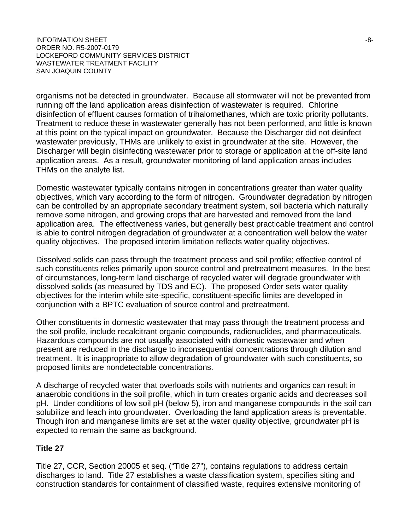$I$ NFORMATION SHEET  $-8-$ ORDER NO. R5-2007-0179 LOCKEFORD COMMUNITY SERVICES DISTRICT WASTEWATER TREATMENT FACILITY SAN JOAQUIN COUNTY

organisms not be detected in groundwater. Because all stormwater will not be prevented from running off the land application areas disinfection of wastewater is required. Chlorine disinfection of effluent causes formation of trihalomethanes, which are toxic priority pollutants. Treatment to reduce these in wastewater generally has not been performed, and little is known at this point on the typical impact on groundwater. Because the Discharger did not disinfect wastewater previously, THMs are unlikely to exist in groundwater at the site. However, the Discharger will begin disinfecting wastewater prior to storage or application at the off-site land application areas. As a result, groundwater monitoring of land application areas includes THMs on the analyte list.

Domestic wastewater typically contains nitrogen in concentrations greater than water quality objectives, which vary according to the form of nitrogen. Groundwater degradation by nitrogen can be controlled by an appropriate secondary treatment system, soil bacteria which naturally remove some nitrogen, and growing crops that are harvested and removed from the land application area. The effectiveness varies, but generally best practicable treatment and control is able to control nitrogen degradation of groundwater at a concentration well below the water quality objectives. The proposed interim limitation reflects water quality objectives.

Dissolved solids can pass through the treatment process and soil profile; effective control of such constituents relies primarily upon source control and pretreatment measures. In the best of circumstances, long-term land discharge of recycled water will degrade groundwater with dissolved solids (as measured by TDS and EC). The proposed Order sets water quality objectives for the interim while site-specific, constituent-specific limits are developed in conjunction with a BPTC evaluation of source control and pretreatment.

Other constituents in domestic wastewater that may pass through the treatment process and the soil profile, include recalcitrant organic compounds, radionuclides, and pharmaceuticals. Hazardous compounds are not usually associated with domestic wastewater and when present are reduced in the discharge to inconsequential concentrations through dilution and treatment. It is inappropriate to allow degradation of groundwater with such constituents, so proposed limits are nondetectable concentrations.

A discharge of recycled water that overloads soils with nutrients and organics can result in anaerobic conditions in the soil profile, which in turn creates organic acids and decreases soil pH. Under conditions of low soil pH (below 5), iron and manganese compounds in the soil can solubilize and leach into groundwater. Overloading the land application areas is preventable. Though iron and manganese limits are set at the water quality objective, groundwater pH is expected to remain the same as background.

#### **Title 27**

Title 27, CCR, Section 20005 et seq. ("Title 27"), contains regulations to address certain discharges to land. Title 27 establishes a waste classification system, specifies siting and construction standards for containment of classified waste, requires extensive monitoring of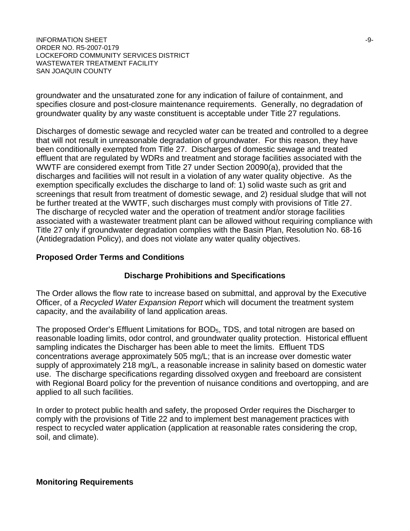$I$ NFORMATION SHEET  $-9$ - $-9$ ORDER NO. R5-2007-0179 LOCKEFORD COMMUNITY SERVICES DISTRICT WASTEWATER TREATMENT FACILITY SAN JOAQUIN COUNTY

groundwater and the unsaturated zone for any indication of failure of containment, and specifies closure and post-closure maintenance requirements. Generally, no degradation of groundwater quality by any waste constituent is acceptable under Title 27 regulations.

Discharges of domestic sewage and recycled water can be treated and controlled to a degree that will not result in unreasonable degradation of groundwater. For this reason, they have been conditionally exempted from Title 27. Discharges of domestic sewage and treated effluent that are regulated by WDRs and treatment and storage facilities associated with the WWTF are considered exempt from Title 27 under Section 20090(a), provided that the discharges and facilities will not result in a violation of any water quality objective. As the exemption specifically excludes the discharge to land of: 1) solid waste such as grit and screenings that result from treatment of domestic sewage, and 2) residual sludge that will not be further treated at the WWTF, such discharges must comply with provisions of Title 27. The discharge of recycled water and the operation of treatment and/or storage facilities associated with a wastewater treatment plant can be allowed without requiring compliance with Title 27 only if groundwater degradation complies with the Basin Plan, Resolution No. 68-16 (Antidegradation Policy), and does not violate any water quality objectives.

#### **Proposed Order Terms and Conditions**

#### **Discharge Prohibitions and Specifications**

The Order allows the flow rate to increase based on submittal, and approval by the Executive Officer, of a *Recycled Water Expansion Report* which will document the treatment system capacity, and the availability of land application areas.

The proposed Order's Effluent Limitations for BOD<sub>5</sub>, TDS, and total nitrogen are based on reasonable loading limits, odor control, and groundwater quality protection. Historical effluent sampling indicates the Discharger has been able to meet the limits. Effluent TDS concentrations average approximately 505 mg/L; that is an increase over domestic water supply of approximately 218 mg/L, a reasonable increase in salinity based on domestic water use. The discharge specifications regarding dissolved oxygen and freeboard are consistent with Regional Board policy for the prevention of nuisance conditions and overtopping, and are applied to all such facilities.

In order to protect public health and safety, the proposed Order requires the Discharger to comply with the provisions of Title 22 and to implement best management practices with respect to recycled water application (application at reasonable rates considering the crop, soil, and climate).

**Monitoring Requirements**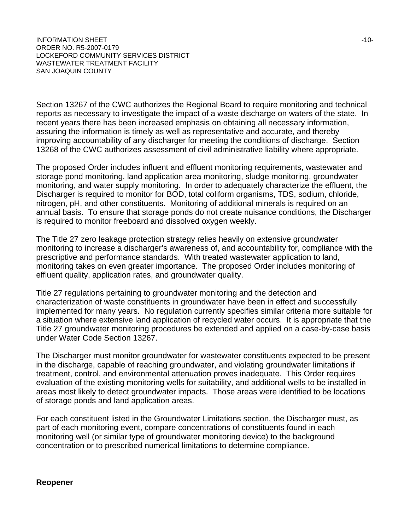INFORMATION SHEET  $\sim$ ORDER NO. R5-2007-0179 LOCKEFORD COMMUNITY SERVICES DISTRICT WASTEWATER TREATMENT FACILITY SAN JOAQUIN COUNTY

Section 13267 of the CWC authorizes the Regional Board to require monitoring and technical reports as necessary to investigate the impact of a waste discharge on waters of the state. In recent years there has been increased emphasis on obtaining all necessary information, assuring the information is timely as well as representative and accurate, and thereby improving accountability of any discharger for meeting the conditions of discharge. Section 13268 of the CWC authorizes assessment of civil administrative liability where appropriate.

The proposed Order includes influent and effluent monitoring requirements, wastewater and storage pond monitoring, land application area monitoring, sludge monitoring, groundwater monitoring, and water supply monitoring. In order to adequately characterize the effluent, the Discharger is required to monitor for BOD, total coliform organisms, TDS, sodium, chloride, nitrogen, pH, and other constituents. Monitoring of additional minerals is required on an annual basis. To ensure that storage ponds do not create nuisance conditions, the Discharger is required to monitor freeboard and dissolved oxygen weekly.

The Title 27 zero leakage protection strategy relies heavily on extensive groundwater monitoring to increase a discharger's awareness of, and accountability for, compliance with the prescriptive and performance standards. With treated wastewater application to land, monitoring takes on even greater importance. The proposed Order includes monitoring of effluent quality, application rates, and groundwater quality.

Title 27 regulations pertaining to groundwater monitoring and the detection and characterization of waste constituents in groundwater have been in effect and successfully implemented for many years. No regulation currently specifies similar criteria more suitable for a situation where extensive land application of recycled water occurs. It is appropriate that the Title 27 groundwater monitoring procedures be extended and applied on a case-by-case basis under Water Code Section 13267.

The Discharger must monitor groundwater for wastewater constituents expected to be present in the discharge, capable of reaching groundwater, and violating groundwater limitations if treatment, control, and environmental attenuation proves inadequate. This Order requires evaluation of the existing monitoring wells for suitability, and additional wells to be installed in areas most likely to detect groundwater impacts. Those areas were identified to be locations of storage ponds and land application areas.

For each constituent listed in the Groundwater Limitations section, the Discharger must, as part of each monitoring event, compare concentrations of constituents found in each monitoring well (or similar type of groundwater monitoring device) to the background concentration or to prescribed numerical limitations to determine compliance.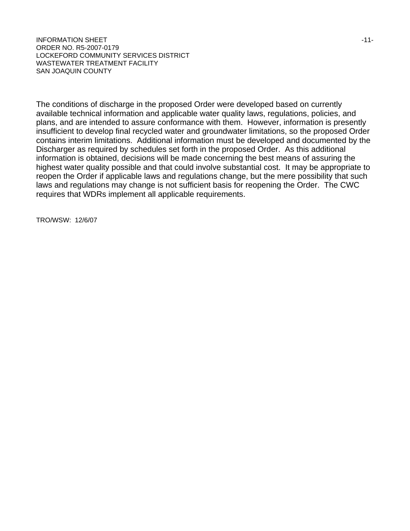INFORMATION SHEET A LOCAL CONTROL IN THE SERVICE OF A LOCAL CONTROL IN THE SERVICE OF A LOCAL CONTROL IN THE ST ORDER NO. R5-2007-0179 LOCKEFORD COMMUNITY SERVICES DISTRICT WASTEWATER TREATMENT FACILITY SAN JOAQUIN COUNTY

The conditions of discharge in the proposed Order were developed based on currently available technical information and applicable water quality laws, regulations, policies, and plans, and are intended to assure conformance with them. However, information is presently insufficient to develop final recycled water and groundwater limitations, so the proposed Order contains interim limitations. Additional information must be developed and documented by the Discharger as required by schedules set forth in the proposed Order. As this additional information is obtained, decisions will be made concerning the best means of assuring the highest water quality possible and that could involve substantial cost. It may be appropriate to reopen the Order if applicable laws and regulations change, but the mere possibility that such laws and regulations may change is not sufficient basis for reopening the Order. The CWC requires that WDRs implement all applicable requirements.

TRO/WSW: 12/6/07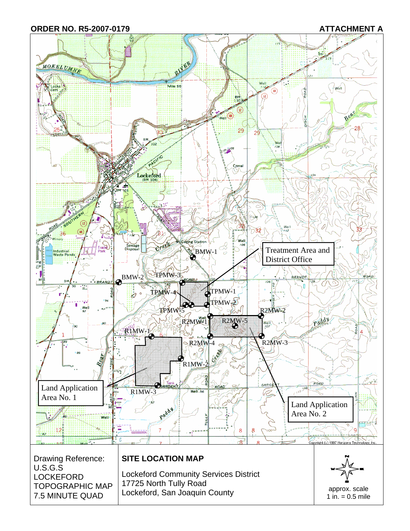**ORDER NO. R5-2007-0179 ATTACHMENT A** 

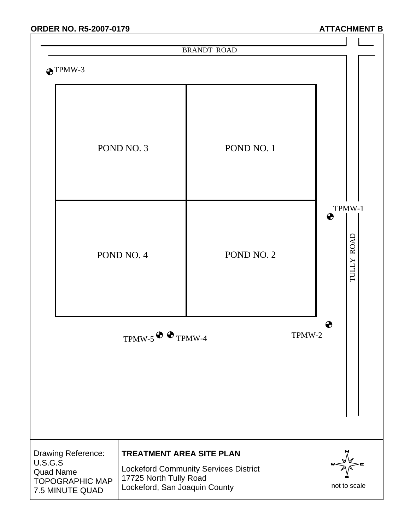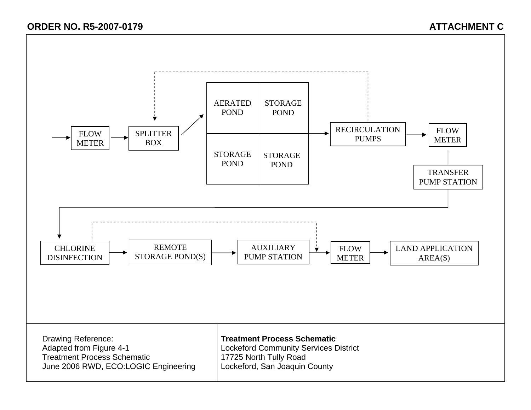# **ORDER NO. R5-2007-0179 ATTACHMENT C**

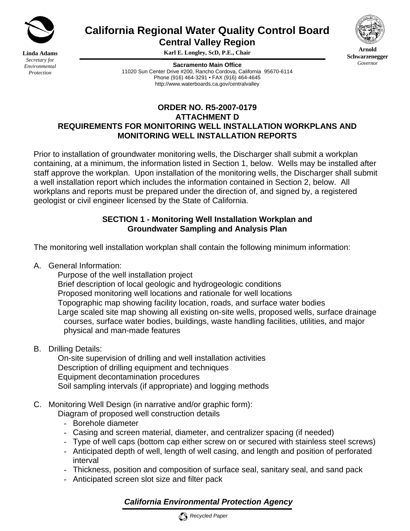

**Linda Adams** *Secretary for Environmental Protection*

# **California Regional Water Quality Control Board**

**Central Valley Region** 

**Karl E. Longley, ScD, P.E., Chair** 

**Sacramento Main Office** 11020 Sun Center Drive #200, Rancho Cordova, California 95670-6114 Phone (916) 464-3291 • FAX (916) 464-4645 http://www.waterboards.ca.gov/centralvalley



Prior to installation of groundwater monitoring wells, the Discharger shall submit a workplan containing, at a minimum, the information listed in Section 1, below. Wells may be installed after staff approve the workplan. Upon installation of the monitoring wells, the Discharger shall submit a well installation report which includes the information contained in Section 2, below. All workplans and reports must be prepared under the direction of, and signed by, a registered geologist or civil engineer licensed by the State of California.

#### **SECTION 1 - Monitoring Well Installation Workplan and Groundwater Sampling and Analysis Plan**

The monitoring well installation workplan shall contain the following minimum information:

A. General Information:

Purpose of the well installation project

Brief description of local geologic and hydrogeologic conditions

Proposed monitoring well locations and rationale for well locations

Topographic map showing facility location, roads, and surface water bodies

 Large scaled site map showing all existing on-site wells, proposed wells, surface drainage courses, surface water bodies, buildings, waste handling facilities, utilities, and major physical and man-made features

B. Drilling Details:

 On-site supervision of drilling and well installation activities Description of drilling equipment and techniques Equipment decontamination procedures Soil sampling intervals (if appropriate) and logging methods

## C. Monitoring Well Design (in narrative and/or graphic form):

Diagram of proposed well construction details

- Borehole diameter
- Casing and screen material, diameter, and centralizer spacing (if needed)
- Type of well caps (bottom cap either screw on or secured with stainless steel screws) - Anticipated depth of well, length of well casing, and length and position of perforated
- interval
- Thickness, position and composition of surface seal, sanitary seal, and sand pack
- Anticipated screen slot size and filter pack

# *California Environmental Protection Agency*





**Arnold Schwarzenegger** *Governor*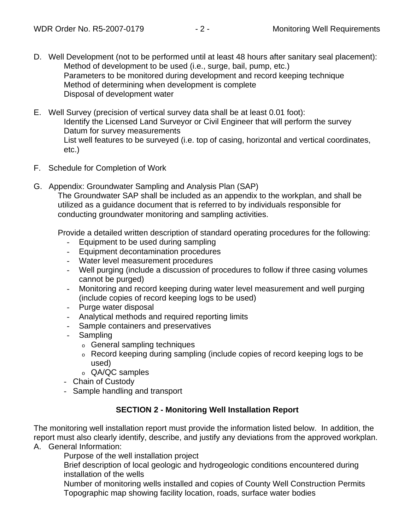- D. Well Development (not to be performed until at least 48 hours after sanitary seal placement): Method of development to be used (i.e., surge, bail, pump, etc.) Parameters to be monitored during development and record keeping technique Method of determining when development is complete Disposal of development water
- E. Well Survey (precision of vertical survey data shall be at least 0.01 foot): Identify the Licensed Land Surveyor or Civil Engineer that will perform the survey Datum for survey measurements List well features to be surveyed (i.e. top of casing, horizontal and vertical coordinates, etc.)
- F. Schedule for Completion of Work
- G. Appendix: Groundwater Sampling and Analysis Plan (SAP)

The Groundwater SAP shall be included as an appendix to the workplan, and shall be utilized as a guidance document that is referred to by individuals responsible for conducting groundwater monitoring and sampling activities.

Provide a detailed written description of standard operating procedures for the following:

- Equipment to be used during sampling
- Equipment decontamination procedures
- Water level measurement procedures
- Well purging (include a discussion of procedures to follow if three casing volumes cannot be purged)
- Monitoring and record keeping during water level measurement and well purging (include copies of record keeping logs to be used)
- Purge water disposal
- Analytical methods and required reporting limits
- Sample containers and preservatives
- Sampling
	- o General sampling techniques
	- o Record keeping during sampling (include copies of record keeping logs to be used)
	- o QA/QC samples
- Chain of Custody
- Sample handling and transport

#### **SECTION 2 - Monitoring Well Installation Report**

The monitoring well installation report must provide the information listed below. In addition, the report must also clearly identify, describe, and justify any deviations from the approved workplan.

A. General Information:

Purpose of the well installation project

Brief description of local geologic and hydrogeologic conditions encountered during installation of the wells

Number of monitoring wells installed and copies of County Well Construction Permits Topographic map showing facility location, roads, surface water bodies